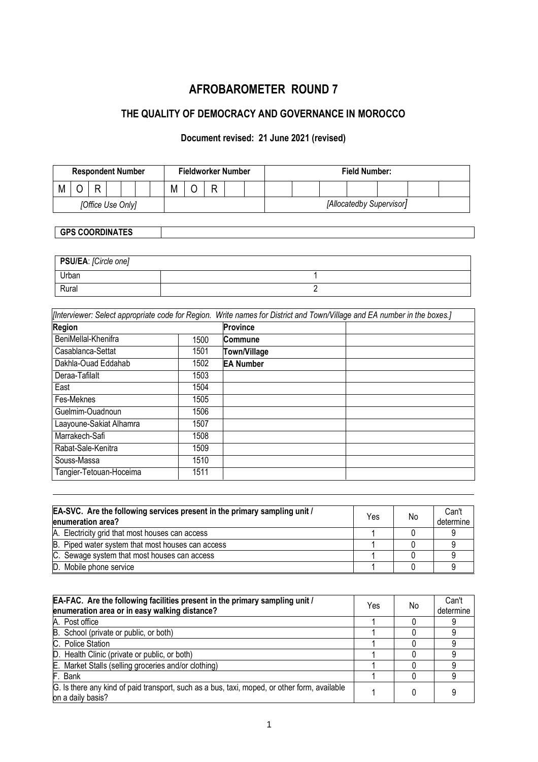# **AFROBAROMETER ROUND 7**

# **THE QUALITY OF DEMOCRACY AND GOVERNANCE IN MOROCCO**

### **Document revised: 21 June 2021 (revised)**

| <b>Respondent Number</b> |  |  |  |  | <b>Fieldworker Number</b> | <b>Field Number:</b> |   |  |                          |  |  |  |  |  |
|--------------------------|--|--|--|--|---------------------------|----------------------|---|--|--------------------------|--|--|--|--|--|
| M                        |  |  |  |  |                           | M                    | ₽ |  |                          |  |  |  |  |  |
| [Office Use Only]        |  |  |  |  |                           |                      |   |  | [Allocatedby Supervisor] |  |  |  |  |  |

## **GPS COORDINATES**

| PSU/EA: [Circle one] |  |
|----------------------|--|
| Urban                |  |
| Rural                |  |

*[Interviewer: Select appropriate code for Region. Write names for District and Town/Village and EA number in the boxes.]*

| <b>Region</b>           |      | Province         |
|-------------------------|------|------------------|
| BeniMellal-Khenifra     | 1500 | <b>Commune</b>   |
| Casablanca-Settat       | 1501 | Town/Village     |
| Dakhla-Ouad Eddahab     | 1502 | <b>EA Number</b> |
| Deraa-Tafilalt          | 1503 |                  |
| East                    | 1504 |                  |
| Fes-Meknes              | 1505 |                  |
| Guelmim-Ouadnoun        | 1506 |                  |
| Laayoune-Sakiat Alhamra | 1507 |                  |
| Marrakech-Safi          | 1508 |                  |
| Rabat-Sale-Kenitra      | 1509 |                  |
| Souss-Massa             | 1510 |                  |
| Tangier-Tetouan-Hoceima | 1511 |                  |

| EA-SVC. Are the following services present in the primary sampling unit /<br>enumeration area? | Yes | No | Can't<br>determine |
|------------------------------------------------------------------------------------------------|-----|----|--------------------|
| A. Electricity grid that most houses can access                                                |     |    |                    |
| B. Piped water system that most houses can access                                              |     |    |                    |
| C. Sewage system that most houses can access                                                   |     |    |                    |
| D. Mobile phone service                                                                        |     |    |                    |

| EA-FAC. Are the following facilities present in the primary sampling unit /<br>enumeration area or in easy walking distance? | Yes | No | Can't<br>determine |
|------------------------------------------------------------------------------------------------------------------------------|-----|----|--------------------|
| A. Post office                                                                                                               |     |    |                    |
| B. School (private or public, or both)                                                                                       |     |    |                    |
| C. Police Station                                                                                                            |     |    |                    |
| D. Health Clinic (private or public, or both)                                                                                |     |    |                    |
| E. Market Stalls (selling groceries and/or clothing)                                                                         |     |    |                    |
| F. Bank                                                                                                                      |     |    |                    |
| G. Is there any kind of paid transport, such as a bus, taxi, moped, or other form, available<br>on a daily basis?            |     |    |                    |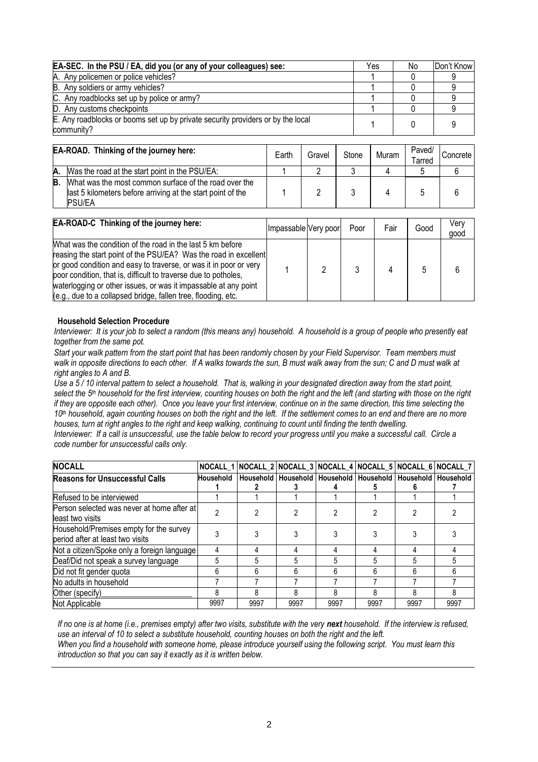| EA-SEC. In the PSU / EA, did you (or any of your colleagues) see:                             | Yes | No | Don't Know |
|-----------------------------------------------------------------------------------------------|-----|----|------------|
| A. Any policemen or police vehicles?                                                          |     |    |            |
| B. Any soldiers or army vehicles?                                                             |     |    |            |
| C. Any roadblocks set up by police or army?                                                   |     |    |            |
| D. Any customs checkpoints                                                                    |     |    |            |
| E. Any roadblocks or booms set up by private security providers or by the local<br>community? |     |    |            |

|    | EA-ROAD. Thinking of the journey here:                                                                                                | Earth | Gravel | Stone | Muram | Paved/<br>Tarred | Concrete |
|----|---------------------------------------------------------------------------------------------------------------------------------------|-------|--------|-------|-------|------------------|----------|
| А. | Was the road at the start point in the PSU/EA:                                                                                        |       |        |       |       |                  |          |
| B. | What was the most common surface of the road over the<br>last 5 kilometers before arriving at the start point of the<br><b>PSU/EA</b> |       |        |       |       |                  |          |

| EA-ROAD-C Thinking of the journey here:                                                                                                                                                                                                                                                                                                                                                                    | Impassable Very poor |   | Poor | Fair | Good | Verv<br>good |
|------------------------------------------------------------------------------------------------------------------------------------------------------------------------------------------------------------------------------------------------------------------------------------------------------------------------------------------------------------------------------------------------------------|----------------------|---|------|------|------|--------------|
| What was the condition of the road in the last 5 km before<br>reasing the start point of the PSU/EA? Was the road in excellent<br>or good condition and easy to traverse, or was it in poor or very<br>poor condition, that is, difficult to traverse due to potholes,<br>waterlogging or other issues, or was it impassable at any point<br>(e.g., due to a collapsed bridge, fallen tree, flooding, etc. |                      | 2 |      |      |      |              |

#### **Household Selection Procedure**

*Interviewer: It is your job to select a random (this means any) household. A household is a group of people who presently eat together from the same pot.*

*Start your walk pattern from the start point that has been randomly chosen by your Field Supervisor. Team members must walk in opposite directions to each other. If A walks towards the sun, B must walk away from the sun; C and D must walk at right angles to A and B.*

*Use a 5 / 10 interval pattern to select a household. That is, walking in your designated direction away from the start point, select the 5th household for the first interview, counting houses on both the right and the left (and starting with those on the right if they are opposite each other). Once you leave your first interview, continue on in the same direction, this time selecting the 10th household, again counting houses on both the right and the left. If the settlement comes to an end and there are no more houses, turn at right angles to the right and keep walking, continuing to count until finding the tenth dwelling.*

*Interviewer: If a call is unsuccessful, use the table below to record your progress until you make a successful call. Circle a code number for unsuccessful calls only.*

| <b>NOCALL</b>                                                               |                  |      |                                                                       |      |      |      | NOCALL_1 NOCALL_2 NOCALL_3 NOCALL_4 NOCALL_5 NOCALL_6 NOCALL_7 |
|-----------------------------------------------------------------------------|------------------|------|-----------------------------------------------------------------------|------|------|------|----------------------------------------------------------------|
| <b>Reasons for Unsuccessful Calls</b>                                       | <b>Household</b> |      | Household   Household   Household   Household   Household   Household |      |      |      |                                                                |
|                                                                             |                  |      |                                                                       |      |      |      |                                                                |
| Refused to be interviewed                                                   |                  |      |                                                                       |      |      |      |                                                                |
| Person selected was never at home after at<br>lleast two visits             |                  |      |                                                                       |      |      |      |                                                                |
| Household/Premises empty for the survey<br>period after at least two visits |                  |      |                                                                       |      |      |      |                                                                |
| Not a citizen/Spoke only a foreign language                                 |                  |      |                                                                       |      |      |      |                                                                |
| Deaf/Did not speak a survey language                                        |                  |      |                                                                       |      |      |      |                                                                |
| Did not fit gender quota                                                    | h                | 6    | h                                                                     | 6    |      | 6    |                                                                |
| No adults in household                                                      |                  |      |                                                                       |      |      |      |                                                                |
| Other (specify)                                                             |                  | 8    |                                                                       | 8    |      | 8    |                                                                |
| Not Applicable                                                              | 9997             | 9997 | 9997                                                                  | 9997 | 9997 | 9997 | 9997                                                           |

*If no one is at home (i.e., premises empty) after two visits, substitute with the very next household. If the interview is refused, use an interval of 10 to select a substitute household, counting houses on both the right and the left. When you find a household with someone home, please introduce yourself using the following script. You must learn this introduction so that you can say it exactly as it is written below.*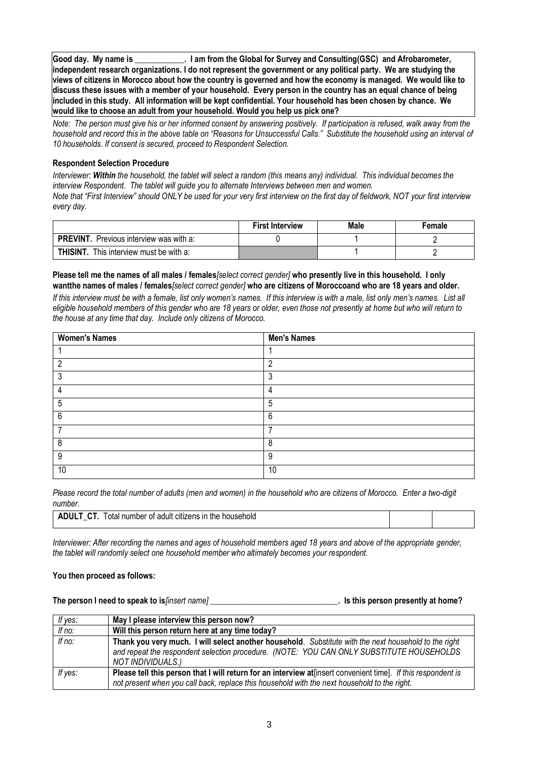**Good day. My name is \_\_\_\_\_\_\_\_\_\_\_\_. I am from the Global for Survey and Consulting(GSC) and Afrobarometer, independent research organizations. I do not represent the government or any political party. We are studying the views of citizens in Morocco about how the country is governed and how the economy is managed. We would like to discuss these issues with a member of your household. Every person in the country has an equal chance of being included in this study. All information will be kept confidential. Your household has been chosen by chance. We would like to choose an adult from your household. Would you help us pick one?**

*Note: The person must give his or her informed consent by answering positively. If participation is refused, walk away from the household and record this in the above table on "Reasons for Unsuccessful Calls." Substitute the household using an interval of 10 households. If consent is secured, proceed to Respondent Selection.*

#### **Respondent Selection Procedure**

*Interviewer: Within the household, the tablet will select a random (this means any) individual. This individual becomes the interview Respondent. The tablet will guide you to alternate Interviews between men and women.* 

*Note that "First Interview" should ONLY be used for your very first interview on the first day of fieldwork, NOT your first interview every day.*

|                                                  | <b>First Interview</b> | Male | Female |
|--------------------------------------------------|------------------------|------|--------|
| <b>PREVINT.</b> Previous interview was with a:   |                        |      |        |
| <b>THISINT</b><br>This interview must be with a: |                        |      |        |

#### **Please tell me the names of all males / females***[select correct gender]* **who presently live in this household. I only wantthe names of males / females***[select correct gender]* **who are citizens of Moroccoand who are 18 years and older.**

*If this interview must be with a female, list only women's names. If this interview is with a male, list only men's names. List all eligible household members of this gender who are 18 years or older, even those not presently at home but who will return to the house at any time that day. Include only citizens of Morocco.*

| <b>Women's Names</b> | <b>Men's Names</b> |
|----------------------|--------------------|
|                      |                    |
| ົ                    | c                  |
| 3                    | 3                  |
|                      | 4                  |
| 5                    | 5                  |
| 6                    | 6                  |
|                      | -                  |
| 8                    | 8                  |
| 9                    | 9                  |
| 10                   | 10                 |

*Please record the total number of adults (men and women) in the household who are citizens of Morocco. Enter a two-digit number.*

| $\overline{\phantom{a}}$<br>adult<br>citizens in<br>≧household<br>' otall<br>the<br>number<br>0T |
|--------------------------------------------------------------------------------------------------|
|--------------------------------------------------------------------------------------------------|

*Interviewer: After recording the names and ages of household members aged 18 years and above of the appropriate gender, the tablet will randomly select one household member who altimately becomes your respondent.*

#### **You then proceed as follows:**

**The person I need to speak to is***[insert name]* **\_\_\_\_\_\_\_\_\_\_\_\_\_\_\_\_\_\_\_\_\_\_\_\_\_\_\_\_\_\_\_. Is this person presently at home?**

| If yes:  | May I please interview this person now?                                                                                                                                                                                |
|----------|------------------------------------------------------------------------------------------------------------------------------------------------------------------------------------------------------------------------|
| If $no:$ | Will this person return here at any time today?                                                                                                                                                                        |
| If no:   | Thank you very much. I will select another household. Substitute with the next household to the right<br>and repeat the respondent selection procedure. (NOTE: YOU CAN ONLY SUBSTITUTE HOUSEHOLDS<br>NOT INDIVIDUALS.) |
| If yes:  | Please tell this person that I will return for an interview at insert convenient time]. If this respondent is<br>not present when you call back, replace this household with the next household to the right.          |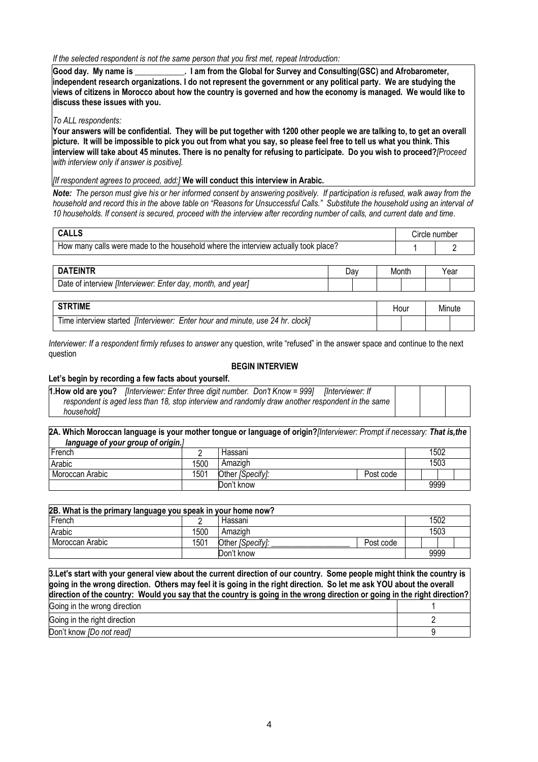*If the selected respondent is not the same person that you first met, repeat Introduction:*

**Good day. My name is \_\_\_\_\_\_\_\_\_\_\_\_. I am from the Global for Survey and Consulting(GSC) and Afrobarometer, independent research organizations. I do not represent the government or any political party. We are studying the views of citizens in Morocco about how the country is governed and how the economy is managed. We would like to discuss these issues with you.**

#### *To ALL respondents:*

**Your answers will be confidential. They will be put together with 1200 other people we are talking to, to get an overall picture. It will be impossible to pick you out from what you say, so please feel free to tell us what you think. This interview will take about 45 minutes. There is no penalty for refusing to participate. Do you wish to proceed?***[Proceed with interview only if answer is positive].*

*[If respondent agrees to proceed, add:]* **We will conduct this interview in Arabic.** 

*Note: The person must give his or her informed consent by answering positively. If participation is refused, walk away from the household and record this in the above table on "Reasons for Unsuccessful Calls." Substitute the household using an interval of 10 households. If consent is secured, proceed with the interview after recording number of calls, and current date and time.*

| <b>CALLS</b>                                                                            | Circle number |
|-----------------------------------------------------------------------------------------|---------------|
| ' calls were made to the household where the interview actually took place?<br>How many |               |

| <b>ATFINTR</b>                                                                 | Da | Month | Year |
|--------------------------------------------------------------------------------|----|-------|------|
| Date<br>vear<br>Enter<br>° day, month,<br>and<br>linterviewer:<br>of interview |    |       |      |

| TIME                                                                                         | Hour | Minute |  |
|----------------------------------------------------------------------------------------------|------|--------|--|
| . use 24 hr.<br>Enter hour and minute,<br>linterviewer:<br>l ime interview started<br>clockl |      |        |  |

*Interviewer: If a respondent firmly refuses to answer* any question, write "refused" in the answer space and continue to the next question

#### **BEGIN INTERVIEW**

#### **Let's begin by recording a few facts about yourself.**

|            | 1. How old are you? <i>[Interviewer: Enter three digit number. Don't Know</i> = 999] <i>[Interviewer: If</i> |  |
|------------|--------------------------------------------------------------------------------------------------------------|--|
|            | respondent is aged less than 18, stop interview and randomly draw another respondent in the same             |  |
| household1 |                                                                                                              |  |

**2A. Which Moroccan language is your mother tongue or language of origin?***[Interviewer: Prompt if necessary: That is,the language of your group of origin.]* French 2 Hassani 1502 Arabic 1500 Amazigh 1503 Moroccan Arabic 1501 Other *[Specify]:* Post code Don't know 9999

| 2B. What is the primary language you speak in your home now? |                 |                         |           |      |      |      |  |  |
|--------------------------------------------------------------|-----------------|-------------------------|-----------|------|------|------|--|--|
| French<br>Hassani                                            |                 |                         |           |      |      | 1502 |  |  |
| Arabic                                                       | 1500<br>Amazigh |                         |           | 1503 |      |      |  |  |
| Moroccan Arabic                                              | 1501            | Other <i>[Specify]:</i> | Post code |      |      |      |  |  |
|                                                              |                 | Don't know              |           |      | 9999 |      |  |  |

| 3. Let's start with your general view about the current direction of our country. Some people might think the country is<br>going in the wrong direction. Others may feel it is going in the right direction. So let me ask YOU about the overall<br>direction of the country: Would you say that the country is going in the wrong direction or going in the right direction? |  |
|--------------------------------------------------------------------------------------------------------------------------------------------------------------------------------------------------------------------------------------------------------------------------------------------------------------------------------------------------------------------------------|--|
| Going in the wrong direction                                                                                                                                                                                                                                                                                                                                                   |  |
| Going in the right direction                                                                                                                                                                                                                                                                                                                                                   |  |
| Don't know [Do not read]                                                                                                                                                                                                                                                                                                                                                       |  |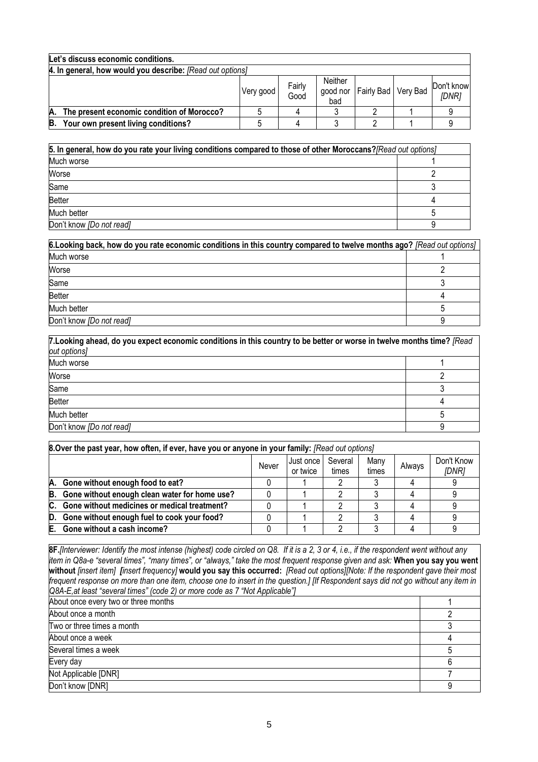|                                                           | Let's discuss economic conditions.         |           |                |                            |                       |  |                     |  |
|-----------------------------------------------------------|--------------------------------------------|-----------|----------------|----------------------------|-----------------------|--|---------------------|--|
| 4. In general, how would you describe: [Read out options] |                                            |           |                |                            |                       |  |                     |  |
|                                                           |                                            | Very good | Fairly<br>Good | Neither<br>good nor<br>bad | Fairly Bad   Very Bad |  | Don't know<br>[DNR] |  |
| А.                                                        | The present economic condition of Morocco? |           |                |                            |                       |  |                     |  |
| B.                                                        | Your own present living conditions?        |           |                |                            |                       |  |                     |  |

| 5. In general, how do you rate your living conditions compared to those of other Moroccans? [Read out options] |  |  |  |  |
|----------------------------------------------------------------------------------------------------------------|--|--|--|--|
| Much worse                                                                                                     |  |  |  |  |
| Worse                                                                                                          |  |  |  |  |
| Same                                                                                                           |  |  |  |  |
| <b>Better</b>                                                                                                  |  |  |  |  |
| Much better                                                                                                    |  |  |  |  |
| Don't know [Do not read]                                                                                       |  |  |  |  |

| 6. Looking back, how do you rate economic conditions in this country compared to twelve months ago? [Read out options] |  |
|------------------------------------------------------------------------------------------------------------------------|--|
| Much worse                                                                                                             |  |
| Worse                                                                                                                  |  |
| Same                                                                                                                   |  |
| <b>Better</b>                                                                                                          |  |
| Much better                                                                                                            |  |
| Don't know [Do not read]                                                                                               |  |

| 7. Looking ahead, do you expect economic conditions in this country to be better or worse in twelve months time? [Read |  |  |  |
|------------------------------------------------------------------------------------------------------------------------|--|--|--|
| out options]                                                                                                           |  |  |  |
| Much worse                                                                                                             |  |  |  |
| Worse                                                                                                                  |  |  |  |
| Same                                                                                                                   |  |  |  |
| <b>Better</b>                                                                                                          |  |  |  |
| Much better                                                                                                            |  |  |  |
| Don't know [Do not read]                                                                                               |  |  |  |

|    | <b>8. Over the past year, how often, if ever, have you or anyone in your family:</b> [Read out options] |       |                       |                  |               |        |                     |  |  |
|----|---------------------------------------------------------------------------------------------------------|-------|-----------------------|------------------|---------------|--------|---------------------|--|--|
|    |                                                                                                         | Never | Just once<br>or twice | Several<br>times | Many<br>times | Always | Don't Know<br>[DNR] |  |  |
|    | A. Gone without enough food to eat?                                                                     |       |                       |                  |               |        |                     |  |  |
|    | B. Gone without enough clean water for home use?                                                        |       |                       |                  |               |        |                     |  |  |
|    | C. Gone without medicines or medical treatment?                                                         |       |                       |                  |               |        |                     |  |  |
| D. | Gone without enough fuel to cook your food?                                                             |       |                       |                  |               |        |                     |  |  |
|    | E. Gone without a cash income?                                                                          |       |                       |                  |               |        |                     |  |  |

**8F.***[Interviewer: Identify the most intense (highest) code circled on Q8. If it is a 2, 3 or 4, i.e., if the respondent went without any item in Q8a-e "several times", "many times", or "always," take the most frequent response given and ask:* **When you say you went without** *[insert item] [insert frequency]* **would you say this occurred:** *[Read out options][Note: If the respondent gave their most frequent response on more than one item, choose one to insert in the question.] [If Respondent says did not go without any item in Q8A-E,at least "several times" (code 2) or more code as 7 "Not Applicable"]*

| About once every two or three months |  |
|--------------------------------------|--|
| About once a month                   |  |
| Two or three times a month           |  |
| About once a week                    |  |
| Several times a week                 |  |
| Every day                            |  |
| Not Applicable [DNR]                 |  |
| Don't know [DNR]                     |  |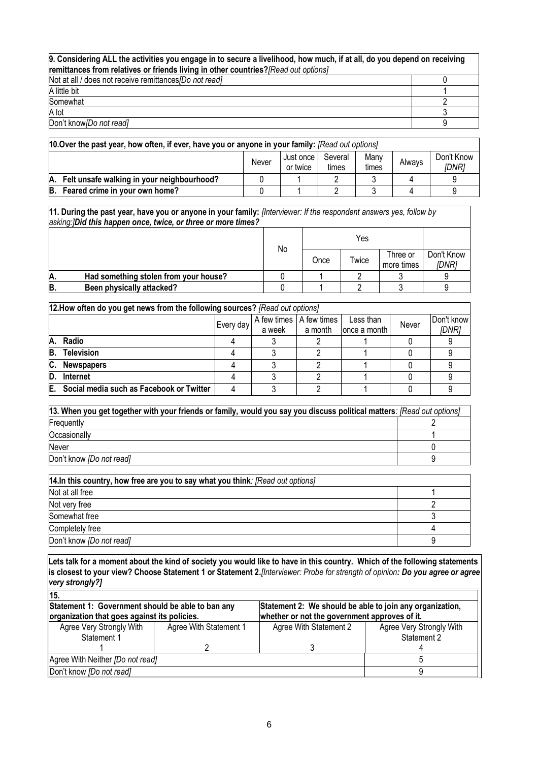## **9. Considering ALL the activities you engage in to secure a livelihood, how much, if at all, do you depend on receiving remittances from relatives or friends living in other countries?***[Read out options]*

| Not at all / does not receive remittances <i>[Do not read]</i> |  |
|----------------------------------------------------------------|--|
| A little bit                                                   |  |
| Somewhat                                                       |  |
| A lot                                                          |  |
| Don't know [Do not read]                                       |  |

| 10.0 Ver the past year, how often, if ever, have you or anyone in your family: $[Read out options]$           |  |  |  |  |  |  |  |  |
|---------------------------------------------------------------------------------------------------------------|--|--|--|--|--|--|--|--|
| Don't Know<br>Manv<br>Several<br>Just once I<br>Always<br>Never<br>times<br><i>IDNR1</i><br>or twice<br>times |  |  |  |  |  |  |  |  |
| A. Felt unsafe walking in your neighbourhood?                                                                 |  |  |  |  |  |  |  |  |
| B. Feared crime in your own home?                                                                             |  |  |  |  |  |  |  |  |

**11. During the past year, have you or anyone in your family:** *[Interviewer: If the respondent answers yes, follow by asking:]Did this happen once, twice, or three or more times?*

|    |                                       |    |      | Yes   |                        |                     |
|----|---------------------------------------|----|------|-------|------------------------|---------------------|
|    |                                       | No | Once | Twice | Three or<br>more times | Don't Know<br>[DNR] |
| Α. | Had something stolen from your house? |    |      |       |                        |                     |
| В  | Been physically attacked?             |    |      |       |                        |                     |

|    | 12. How often do you get news from the following sources? [Read out options]<br>A few times   A few times |           |            |         |              |  |       |  |  |  |
|----|-----------------------------------------------------------------------------------------------------------|-----------|------------|---------|--------------|--|-------|--|--|--|
|    |                                                                                                           | Never     | Don't know |         |              |  |       |  |  |  |
|    |                                                                                                           | Every day | a week     | a month | once a month |  | [DNR] |  |  |  |
|    | A. Radio                                                                                                  |           |            |         |              |  |       |  |  |  |
| B. | <b>Television</b>                                                                                         |           |            |         |              |  |       |  |  |  |
| C. | <b>Newspapers</b>                                                                                         |           |            |         |              |  |       |  |  |  |
| D. | Internet                                                                                                  |           |            |         |              |  |       |  |  |  |
| Е. | Social media such as Facebook or Twitter                                                                  |           |            |         |              |  |       |  |  |  |

| [13. When you get together with your friends or family, would you say you discuss political matters: [Read out options] |  |  |  |  |  |
|-------------------------------------------------------------------------------------------------------------------------|--|--|--|--|--|
| Frequently                                                                                                              |  |  |  |  |  |
| Occasionally                                                                                                            |  |  |  |  |  |
| Never                                                                                                                   |  |  |  |  |  |
| Don't know <i>[Do not read]</i>                                                                                         |  |  |  |  |  |

| 14. In this country, how free are you to say what you think: [Read out options] |  |  |  |  |
|---------------------------------------------------------------------------------|--|--|--|--|
| Not at all free                                                                 |  |  |  |  |
| Not very free                                                                   |  |  |  |  |
| Somewhat free                                                                   |  |  |  |  |
| Completely free                                                                 |  |  |  |  |
| Don't know [Do not read]                                                        |  |  |  |  |

**Lets talk for a moment about the kind of society you would like to have in this country. Which of the following statements is closest to your view? Choose Statement 1 or Statement 2.***[Interviewer: Probe for strength of opinion: Do you agree or agree very strongly?]* **15.**

| 115.                                                                                              |                        |                                                                                                           |                                         |  |  |  |  |  |
|---------------------------------------------------------------------------------------------------|------------------------|-----------------------------------------------------------------------------------------------------------|-----------------------------------------|--|--|--|--|--|
| Statement 1: Government should be able to ban any<br>organization that goes against its policies. |                        | Statement 2: We should be able to join any organization,<br>whether or not the government approves of it. |                                         |  |  |  |  |  |
| Agree Very Strongly With<br>Statement 1                                                           | Agree With Statement 1 | Agree With Statement 2                                                                                    | Agree Very Strongly With<br>Statement 2 |  |  |  |  |  |
|                                                                                                   |                        |                                                                                                           |                                         |  |  |  |  |  |
| Agree With Neither [Do not read]                                                                  |                        |                                                                                                           |                                         |  |  |  |  |  |
| Don't know <i>[Do not read]</i>                                                                   |                        |                                                                                                           |                                         |  |  |  |  |  |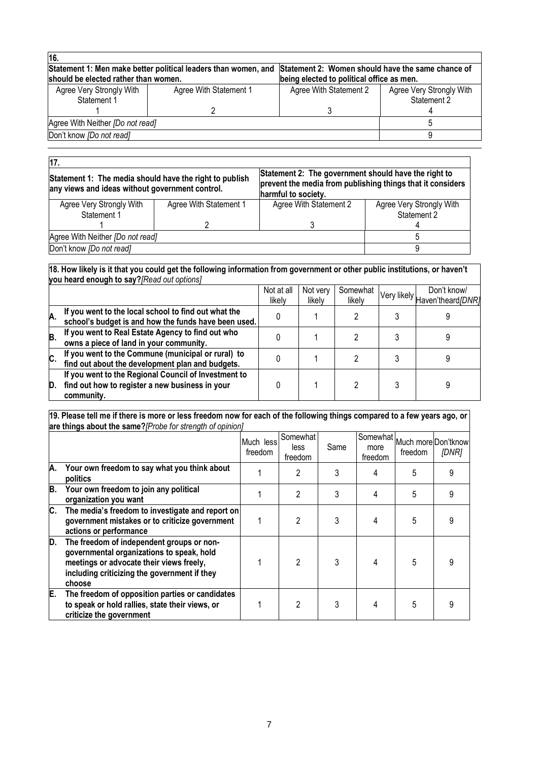| 16.                                     |                                                                |                                                                                                |                                         |  |
|-----------------------------------------|----------------------------------------------------------------|------------------------------------------------------------------------------------------------|-----------------------------------------|--|
| should be elected rather than women.    | Statement 1: Men make better political leaders than women, and | Statement 2: Women should have the same chance of<br>being elected to political office as men. |                                         |  |
| Agree Very Strongly With<br>Statement 1 | Agree With Statement 1                                         | Agree With Statement 2                                                                         | Agree Very Strongly With<br>Statement 2 |  |
|                                         |                                                                |                                                                                                |                                         |  |
| Agree With Neither [Do not read]        |                                                                |                                                                                                |                                         |  |
| Don't know [Do not read]                |                                                                |                                                                                                |                                         |  |
|                                         |                                                                |                                                                                                |                                         |  |

| 17.                                                                                                        |                        |                                                                                                                                           |                                         |  |  |  |
|------------------------------------------------------------------------------------------------------------|------------------------|-------------------------------------------------------------------------------------------------------------------------------------------|-----------------------------------------|--|--|--|
| Statement 1: The media should have the right to publish<br>any views and ideas without government control. |                        | Statement 2: The government should have the right to<br>prevent the media from publishing things that it considers<br>harmful to society. |                                         |  |  |  |
| Agree Very Strongly With<br>Statement 1                                                                    | Agree With Statement 1 | Agree With Statement 2                                                                                                                    | Agree Very Strongly With<br>Statement 2 |  |  |  |
|                                                                                                            |                        |                                                                                                                                           |                                         |  |  |  |
| Agree With Neither [Do not read]                                                                           |                        |                                                                                                                                           |                                         |  |  |  |
| Don't know [Do not read]                                                                                   |                        |                                                                                                                                           |                                         |  |  |  |

#### **18. How likely is it that you could get the following information from government or other public institutions, or haven't you heard enough to say?***[Read out options]*

|    | $\frac{1}{2}$ and $\frac{1}{2}$ and $\frac{1}{2}$ and $\frac{1}{2}$ are $\frac{1}{2}$ and $\frac{1}{2}$ and $\frac{1}{2}$ and $\frac{1}{2}$ and $\frac{1}{2}$ |                      |                    |                    |                                              |
|----|---------------------------------------------------------------------------------------------------------------------------------------------------------------|----------------------|--------------------|--------------------|----------------------------------------------|
|    |                                                                                                                                                               | Not at all<br>likelv | Not very<br>likely | Somewhat<br>likely | Don't know/<br>Very likely Haven'theard[DNR] |
| А. | If you went to the local school to find out what the<br>school's budget is and how the funds have been used.                                                  |                      |                    |                    |                                              |
| B. | If you went to Real Estate Agency to find out who<br>owns a piece of land in your community.                                                                  |                      |                    |                    |                                              |
| C. | If you went to the Commune (municipal or rural) to<br>find out about the development plan and budgets.                                                        |                      |                    |                    |                                              |
| D. | If you went to the Regional Council of Investment to<br>find out how to register a new business in your<br>community.                                         |                      |                    |                    |                                              |

#### **19. Please tell me if there is more or less freedom now for each of the following things compared to a few years ago, or are things about the same?***[Probe for strength of opinion]*

|    |                                                                                                                                                                                              | Much less<br>freedom | Somewhat<br>less<br>freedom | Same | Somewhat Much more Don'tknowl<br>more<br>freedom | freedom | [DNR] |
|----|----------------------------------------------------------------------------------------------------------------------------------------------------------------------------------------------|----------------------|-----------------------------|------|--------------------------------------------------|---------|-------|
| Α. | Your own freedom to say what you think about<br>politics                                                                                                                                     |                      | 2                           |      |                                                  | 5       | 9     |
| B. | Your own freedom to join any political<br>organization you want                                                                                                                              |                      | 2                           |      |                                                  | 5       |       |
| C. | The media's freedom to investigate and report on<br>government mistakes or to criticize government<br>actions or performance                                                                 |                      | 2                           | 3    |                                                  | 5       |       |
| D. | The freedom of independent groups or non-<br>governmental organizations to speak, hold<br>meetings or advocate their views freely,<br>including criticizing the government if they<br>choose |                      | $\mathfrak{p}$              | 3    |                                                  | 5       | g     |
| E. | The freedom of opposition parties or candidates<br>to speak or hold rallies, state their views, or<br>criticize the government                                                               |                      |                             |      |                                                  | 5       |       |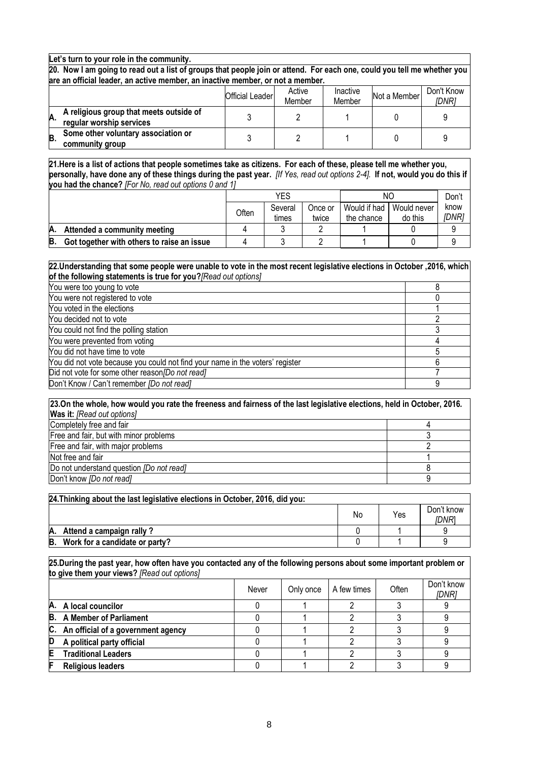#### **Let's turn to your role in the community.**

**20. Now I am going to read out a list of groups that people join or attend. For each one, could you tell me whether you are an official leader, an active member, an inactive member, or not a member.**

|    |                                                                     | Official Leader | Active<br>Member | Inactive<br>Member | Not a Member | Don't Know<br>[DNR] |
|----|---------------------------------------------------------------------|-----------------|------------------|--------------------|--------------|---------------------|
| A. | A religious group that meets outside of<br>regular worship services |                 |                  |                    |              |                     |
| B  | Some other voluntary association or<br>community group              |                 |                  |                    |              |                     |

**21.Here is a list of actions that people sometimes take as citizens. For each of these, please tell me whether you, personally, have done any of these things during the past year.** *[If Yes, read out options 2-4].* **If not, would you do this if you had the chance?** *[For No, read out options 0 and 1]*

|     |                                            |       | YES              |                  |                            | ΝC                     |               |
|-----|--------------------------------------------|-------|------------------|------------------|----------------------------|------------------------|---------------|
|     |                                            | Often | Several<br>times | Once or<br>twice | Would if had<br>the chance | Would never<br>do this | know<br>[DNR] |
| IA. | Attended a community meeting               |       |                  |                  |                            |                        |               |
| B.  | Got together with others to raise an issue |       |                  |                  |                            |                        |               |

#### **22.Understanding that some people were unable to vote in the most recent legislative elections in October ,2016, which of the following statements is true for you?***[Read out options]*

| You were too young to vote                                                    |  |
|-------------------------------------------------------------------------------|--|
| You were not registered to vote                                               |  |
| You voted in the elections                                                    |  |
| You decided not to vote                                                       |  |
| You could not find the polling station                                        |  |
| You were prevented from voting                                                |  |
| You did not have time to vote                                                 |  |
| You did not vote because you could not find your name in the voters' register |  |
| Did not vote for some other reason/Do not read]                               |  |
| Don't Know / Can't remember [Do not read]                                     |  |

| 23.On the whole, how would you rate the freeness and fairness of the last legislative elections, held in October, 2016. |  |  |  |  |
|-------------------------------------------------------------------------------------------------------------------------|--|--|--|--|
| <b>Was it:</b> [Read out options]                                                                                       |  |  |  |  |
| Completely free and fair                                                                                                |  |  |  |  |
| Free and fair, but with minor problems                                                                                  |  |  |  |  |
| Free and fair, with major problems                                                                                      |  |  |  |  |
| Not free and fair                                                                                                       |  |  |  |  |
| Do not understand question <i>[Do not read]</i>                                                                         |  |  |  |  |
| Don't know [Do not read]                                                                                                |  |  |  |  |

| 24. Thinking about the last legislative elections in October, 2016, did you: |    |     |                     |  |  |  |
|------------------------------------------------------------------------------|----|-----|---------------------|--|--|--|
|                                                                              | No | Yes | Don't know<br>idnri |  |  |  |
| Attend a campaign rally?                                                     |    |     |                     |  |  |  |
| B.<br>Work for a candidate or party?                                         |    |     |                     |  |  |  |

**25.During the past year, how often have you contacted any of the following persons about some important problem or to give them your views?** *[Read out options]*

|   |                                       | Never | Only once | A few times | Often | Don't know<br>[DNR] |
|---|---------------------------------------|-------|-----------|-------------|-------|---------------------|
|   | A. A local councilor                  |       |           |             |       |                     |
|   | <b>B.</b> A Member of Parliament      |       |           |             |       |                     |
|   | C. An official of a government agency |       |           |             |       |                     |
| D | A political party official            |       |           |             |       |                     |
| E | <b>Traditional Leaders</b>            |       |           |             |       |                     |
| F | <b>Religious leaders</b>              |       |           |             |       |                     |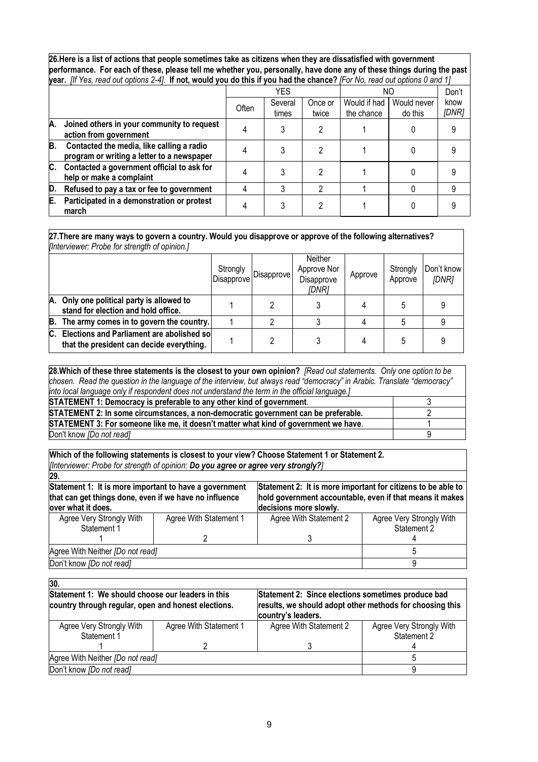**26.Here is a list of actions that people sometimes take as citizens when they are dissatisfied with government performance. For each of these, please tell me whether you, personally, have done any of these things during the past year.** *[If Yes, read out options 2-4].* **If not, would you do this if you had the chance?** *[For No, read out options 0 and 1]*

|    |                                                                                         |       | <b>YES</b>       |                  | NΟ                         |                        | Don't         |
|----|-----------------------------------------------------------------------------------------|-------|------------------|------------------|----------------------------|------------------------|---------------|
|    |                                                                                         | Often | Several<br>times | Once or<br>twice | Would if had<br>the chance | Would never<br>do this | know<br>[DNR] |
| A. | Joined others in your community to request<br>action from government                    |       |                  |                  |                            |                        |               |
| B. | Contacted the media, like calling a radio<br>program or writing a letter to a newspaper |       |                  |                  |                            |                        |               |
| C. | Contacted a government official to ask for<br>help or make a complaint                  |       |                  |                  |                            |                        |               |
| D. | Refused to pay a tax or fee to government                                               |       |                  | 2                |                            |                        |               |
| Е. | Participated in a demonstration or protest<br>march                                     |       |                  |                  |                            |                        |               |

**27.There are many ways to govern a country. Would you disapprove or approve of the following alternatives?**  *[Interviewer: Probe for strength of opinion.]*

|    | 1.11                                                                                          |                        |            |                                               |         |                     |                     |  |
|----|-----------------------------------------------------------------------------------------------|------------------------|------------|-----------------------------------------------|---------|---------------------|---------------------|--|
|    |                                                                                               | Strongly<br>Disapprove | Disapprove | Neither<br>Approve Nor<br>Disapprove<br>[DNR] | Approve | Strongly<br>Approve | Don't know<br>[DNR] |  |
|    | A. Only one political party is allowed to<br>stand for election and hold office.              |                        |            |                                               |         | 5                   |                     |  |
|    | B. The army comes in to govern the country.                                                   |                        |            |                                               |         |                     |                     |  |
| С. | <b>Elections and Parliament are abolished so</b><br>that the president can decide everything. |                        |            |                                               |         | 5                   |                     |  |

**28.Which of these three statements is the closest to your own opinion?** *[Read out statements. Only one option to be chosen. Read the question in the language of the interview, but always read "democracy" in Arabic. Translate "democracy" into local language only if respondent does not understand the term in the official language.]* **STATEMENT 1: Democracy is preferable to any other kind of government.** 3

| STATEMENT 2: In some circumstances, a non-democratic government can be preferable.   |  |
|--------------------------------------------------------------------------------------|--|
| STATEMENT 3: For someone like me, it doesn't matter what kind of government we have. |  |
| Don't know [Do not read]                                                             |  |

**Which of the following statements is closest to your view? Choose Statement 1 or Statement 2.**  *[Interviewer: Probe for strength of opinion: Do you agree or agree very strongly?]*

| 29.                                                                                                                                                                |                        |                        |                                                              |  |  |
|--------------------------------------------------------------------------------------------------------------------------------------------------------------------|------------------------|------------------------|--------------------------------------------------------------|--|--|
| Statement 1: It is more important to have a government                                                                                                             |                        |                        | Statement 2: It is more important for citizens to be able to |  |  |
| that can get things done, even if we have no influence<br>hold government accountable, even if that means it makes<br>decisions more slowly.<br>over what it does. |                        |                        |                                                              |  |  |
|                                                                                                                                                                    |                        |                        |                                                              |  |  |
| Agree Very Strongly With                                                                                                                                           | Agree With Statement 1 | Agree With Statement 2 | Agree Very Strongly With                                     |  |  |
| Statement 1                                                                                                                                                        |                        |                        | Statement 2                                                  |  |  |
|                                                                                                                                                                    |                        |                        |                                                              |  |  |
| Agree With Neither [Do not read]                                                                                                                                   |                        |                        |                                                              |  |  |
| Don't know [Do not read]                                                                                                                                           |                        |                        |                                                              |  |  |

| 30.                                                                                                      |                        |                                                                                                                                      |                                         |  |
|----------------------------------------------------------------------------------------------------------|------------------------|--------------------------------------------------------------------------------------------------------------------------------------|-----------------------------------------|--|
| Statement 1: We should choose our leaders in this<br>country through regular, open and honest elections. |                        | Statement 2: Since elections sometimes produce bad<br>results, we should adopt other methods for choosing this<br>country's leaders. |                                         |  |
| Agree Very Strongly With<br>Statement 1                                                                  | Agree With Statement 1 | Agree With Statement 2                                                                                                               | Agree Very Strongly With<br>Statement 2 |  |
|                                                                                                          |                        |                                                                                                                                      |                                         |  |
| Agree With Neither [Do not read]                                                                         |                        |                                                                                                                                      |                                         |  |
| Don't know [Do not read]                                                                                 |                        |                                                                                                                                      |                                         |  |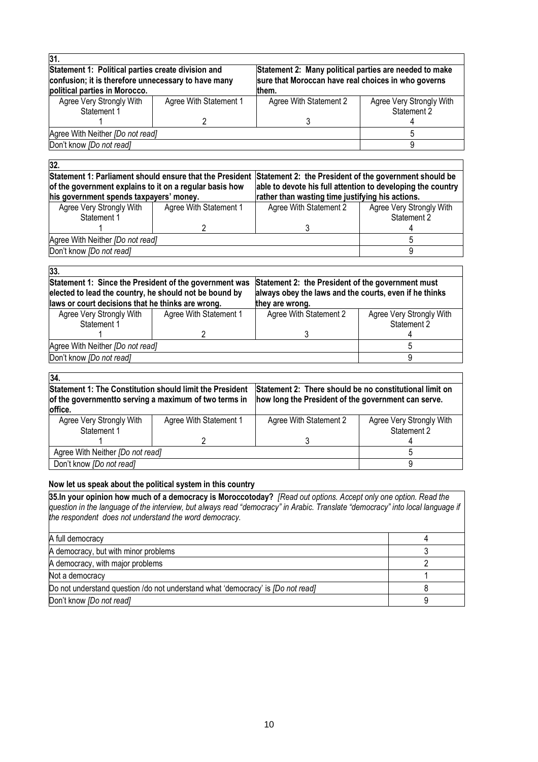| Statement 1: Political parties create division and                                   | Statement 2: Many political parties are needed to make |                                                     |  |  |  |
|--------------------------------------------------------------------------------------|--------------------------------------------------------|-----------------------------------------------------|--|--|--|
| confusion; it is therefore unnecessary to have many<br>political parties in Morocco. |                                                        |                                                     |  |  |  |
|                                                                                      | them.                                                  |                                                     |  |  |  |
| Agree With Statement 1                                                               | Agree With Statement 2                                 | Agree Very Strongly With                            |  |  |  |
|                                                                                      |                                                        | Statement 2                                         |  |  |  |
|                                                                                      |                                                        |                                                     |  |  |  |
|                                                                                      |                                                        |                                                     |  |  |  |
| Agree With Neither [Do not read]<br>Don't know [Do not read]                         |                                                        |                                                     |  |  |  |
|                                                                                      |                                                        | sure that Moroccan have real choices in who governs |  |  |  |

#### **32.**

**Statement 1: Parliament should ensure that the President Statement 2: the President of the government should be of the government explains to it on a regular basis how his government spends taxpayers' money. able to devote his full attention to developing the country rather than wasting time justifying his actions.**  $\overline{\mathsf{a}}$ ly With Agree With Statement 1 Agree With Statement 2 .<br>Agree VA*I*: Ala

| Agree very Strongly With<br>Statement 1 | Agree <i>VVIIII</i> Statement T<br>Agree <i>VIIII</i> Statement Z |  | <b>Agree very Strongly With</b><br>Statement 2 |
|-----------------------------------------|-------------------------------------------------------------------|--|------------------------------------------------|
|                                         |                                                                   |  |                                                |
| Agree With Neither <i>[Do not read]</i> |                                                                   |  |                                                |
| Don't know <i>IDo not readl</i>         |                                                                   |  |                                                |

| 33.                                                                                                                                                                   |                        |                                                                                                                                |                                         |  |  |  |
|-----------------------------------------------------------------------------------------------------------------------------------------------------------------------|------------------------|--------------------------------------------------------------------------------------------------------------------------------|-----------------------------------------|--|--|--|
| Statement 1: Since the President of the government was<br>elected to lead the country, he should not be bound by<br>laws or court decisions that he thinks are wrong. |                        | Statement 2: the President of the government must<br>always obey the laws and the courts, even if he thinks<br>they are wrong. |                                         |  |  |  |
| Agree Very Strongly With<br>Statement 1                                                                                                                               | Agree With Statement 1 | Agree With Statement 2                                                                                                         | Agree Very Strongly With<br>Statement 2 |  |  |  |
|                                                                                                                                                                       |                        |                                                                                                                                |                                         |  |  |  |
| Agree With Neither [Do not read]                                                                                                                                      |                        |                                                                                                                                |                                         |  |  |  |
| Don't know [Do not read]                                                                                                                                              |                        |                                                                                                                                |                                         |  |  |  |

| 34                                                                                                                                  |                        |                                                                                                                |                                         |  |  |  |
|-------------------------------------------------------------------------------------------------------------------------------------|------------------------|----------------------------------------------------------------------------------------------------------------|-----------------------------------------|--|--|--|
| <b>Statement 1: The Constitution should limit the President</b><br>of the governmentto serving a maximum of two terms in<br>office. |                        | Statement 2: There should be no constitutional limit on<br>how long the President of the government can serve. |                                         |  |  |  |
| Agree Very Strongly With<br>Statement 1                                                                                             | Agree With Statement 1 | Agree With Statement 2                                                                                         | Agree Very Strongly With<br>Statement 2 |  |  |  |
|                                                                                                                                     | っ                      |                                                                                                                |                                         |  |  |  |
| Agree With Neither [Do not read]                                                                                                    |                        |                                                                                                                |                                         |  |  |  |
| Don't know <i>[Do not read]</i>                                                                                                     |                        |                                                                                                                |                                         |  |  |  |

#### **Now let us speak about the political system in this country**

**35.In your opinion how much of a democracy is Moroccotoday?** *[Read out options. Accept only one option. Read the question in the language of the interview, but always read "democracy" in Arabic. Translate "democracy" into local language if the respondent does not understand the word democracy.*

| A full democracy                                                                       |  |
|----------------------------------------------------------------------------------------|--|
| A democracy, but with minor problems                                                   |  |
| A democracy, with major problems                                                       |  |
| Not a democracy                                                                        |  |
| Do not understand question /do not understand what 'democracy' is <i>[Do not read]</i> |  |
| Don't know [Do not read]                                                               |  |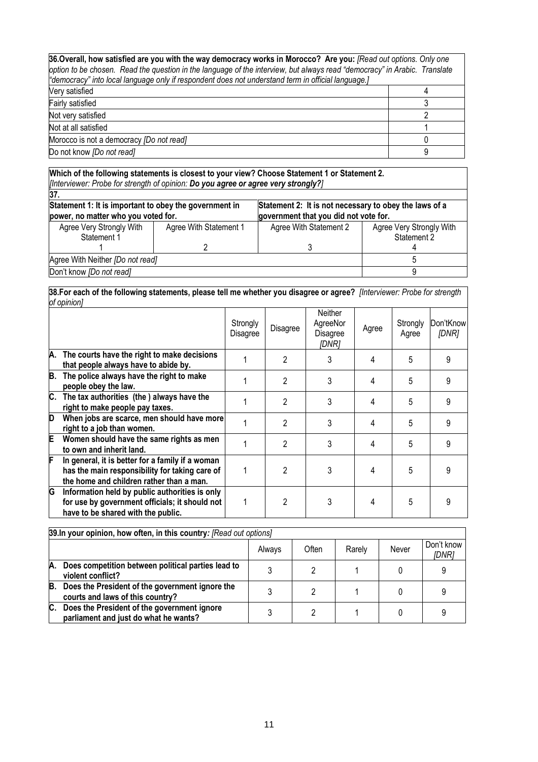| 36. Overall, how satisfied are you with the way democracy works in Morocco? Are you: [Read out options. Only one<br>option to be chosen. Read the question in the language of the interview, but always read "democracy" in Arabic. Translate<br>e democracy" into local language only if respondent does not understand term in official language.] |   |  |  |  |
|------------------------------------------------------------------------------------------------------------------------------------------------------------------------------------------------------------------------------------------------------------------------------------------------------------------------------------------------------|---|--|--|--|
| Very satisfied                                                                                                                                                                                                                                                                                                                                       |   |  |  |  |
| Fairly satisfied                                                                                                                                                                                                                                                                                                                                     |   |  |  |  |
| Not very satisfied                                                                                                                                                                                                                                                                                                                                   |   |  |  |  |
| Not at all satisfied                                                                                                                                                                                                                                                                                                                                 |   |  |  |  |
| Morocco is not a democracy [Do not read]                                                                                                                                                                                                                                                                                                             |   |  |  |  |
| Do not know [Do not read]                                                                                                                                                                                                                                                                                                                            | 9 |  |  |  |

#### **Which of the following statements is closest to your view? Choose Statement 1 or Statement 2.**  *[Interviewer: Probe for strength of opinion: Do you agree or agree very strongly?]*

| 37.                                                                                           |                        |                                                                                                 |                          |
|-----------------------------------------------------------------------------------------------|------------------------|-------------------------------------------------------------------------------------------------|--------------------------|
| Statement 1: It is important to obey the government in<br>power, no matter who you voted for. |                        | Statement 2: It is not necessary to obey the laws of a<br>government that you did not vote for. |                          |
|                                                                                               |                        |                                                                                                 |                          |
| Agree Very Strongly With                                                                      | Agree With Statement 1 | Agree With Statement 2                                                                          | Agree Very Strongly With |
| Statement 1                                                                                   |                        |                                                                                                 | Statement 2              |
|                                                                                               |                        |                                                                                                 |                          |
| Agree With Neither [Do not read]                                                              |                        |                                                                                                 |                          |
| Don't know [Do not read]                                                                      |                        |                                                                                                 |                          |

#### **38.For each of the following statements, please tell me whether you disagree or agree?** *[Interviewer: Probe for strength of opinion]*

|    |                                                                                                                                                | Strongly<br>Disagree | Disagree       | Neither<br>AgreeNor<br>Disagree<br>[DNR] | Agree | Strongly<br>Agree | Don'tKnow<br>[DNR] |
|----|------------------------------------------------------------------------------------------------------------------------------------------------|----------------------|----------------|------------------------------------------|-------|-------------------|--------------------|
|    | A. The courts have the right to make decisions<br>that people always have to abide by.                                                         |                      | 2              | 3                                        | 4     | 5                 | 9                  |
| B. | The police always have the right to make<br>people obey the law.                                                                               |                      | $\overline{c}$ | 3                                        | 4     | 5                 | 9                  |
|    | C. The tax authorities (the) always have the<br>right to make people pay taxes.                                                                |                      | 2              | 3                                        | 4     | 5                 | 9                  |
| D  | When jobs are scarce, men should have more<br>right to a job than women.                                                                       |                      | 2              | 3                                        | 4     | 5                 | 9                  |
| E. | Women should have the same rights as men<br>to own and inherit land.                                                                           |                      | $\mathfrak{p}$ | 3                                        | 4     | 5                 | 9                  |
| F  | In general, it is better for a family if a woman<br>has the main responsibility for taking care of<br>the home and children rather than a man. |                      | $\mathfrak{p}$ | 3                                        | 4     | 5                 | 9                  |
| G  | Information held by public authorities is only<br>for use by government officials; it should not<br>have to be shared with the public.         |                      | 2              | 3                                        | 4     | 5                 | 9                  |

|    | 39. In your opinion, how often, in this country: [Read out options]                  |        |       |        |       |                     |  |  |
|----|--------------------------------------------------------------------------------------|--------|-------|--------|-------|---------------------|--|--|
|    |                                                                                      | Always | Often | Rarely | Never | Don't know<br>[DNR] |  |  |
| А. | Does competition between political parties lead to<br>violent conflict?              |        |       |        |       |                     |  |  |
| B. | Does the President of the government ignore the<br>courts and laws of this country?  |        |       |        |       |                     |  |  |
| C. | Does the President of the government ignore<br>parliament and just do what he wants? |        |       |        |       |                     |  |  |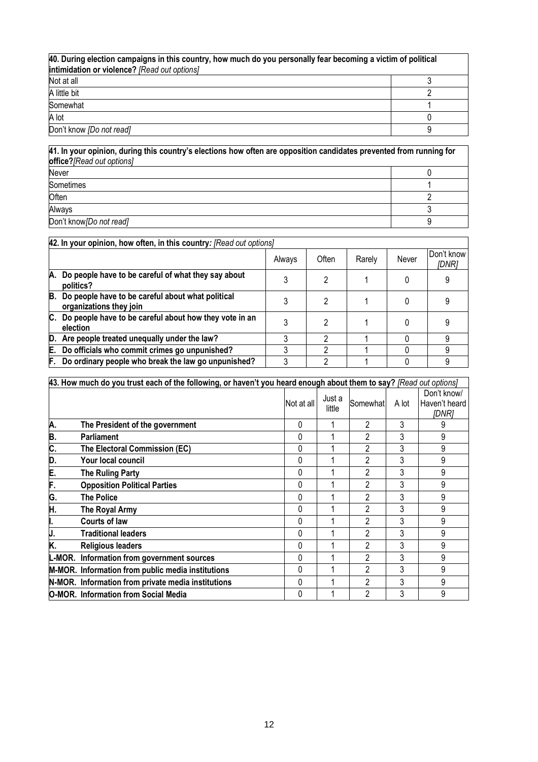| 40. During election campaigns in this country, how much do you personally fear becoming a victim of political<br>intimidation or violence? [Read out options] |  |  |  |  |
|---------------------------------------------------------------------------------------------------------------------------------------------------------------|--|--|--|--|
| Not at all                                                                                                                                                    |  |  |  |  |
| A little bit                                                                                                                                                  |  |  |  |  |
| Somewhat                                                                                                                                                      |  |  |  |  |
| A lot                                                                                                                                                         |  |  |  |  |
| Don't know [Do not read]                                                                                                                                      |  |  |  |  |

**41. In your opinion, during this country's elections how often are opposition candidates prevented from running for office?***[Read out options]* Never 0 Sometimes 1 Often 2 Always 3 Don't know*[Do not read]* 9

|                                                                                    | 42. In your opinion, how often, in this country: [Read out options] |       |        |       |                     |  |  |
|------------------------------------------------------------------------------------|---------------------------------------------------------------------|-------|--------|-------|---------------------|--|--|
|                                                                                    | Always                                                              | Often | Rarely | Never | Don't know<br>[DNR] |  |  |
| Do people have to be careful of what they say about<br>A.<br>politics?             |                                                                     | 2     |        |       |                     |  |  |
| В.<br>Do people have to be careful about what political<br>organizations they join |                                                                     | 2     |        |       |                     |  |  |
| C. Do people have to be careful about how they vote in an<br>election              |                                                                     | 2     |        |       |                     |  |  |
| D. Are people treated unequally under the law?                                     |                                                                     | າ     |        |       |                     |  |  |
| Do officials who commit crimes go unpunished?<br>Е.                                |                                                                     | ົ     |        |       | g                   |  |  |
| Do ordinary people who break the law go unpunished?<br>F.                          |                                                                     | າ     |        |       |                     |  |  |

|     | [43. How much do you trust each of the following, or haven't you heard enough about them to say? [Read out options] |              |                  |                |       |                                       |
|-----|---------------------------------------------------------------------------------------------------------------------|--------------|------------------|----------------|-------|---------------------------------------|
|     |                                                                                                                     | Not at all   | Just a<br>little | Somewhat       | A lot | Don't know/<br>Haven't heard<br>[DNR] |
| Α.  | The President of the government                                                                                     | 0            |                  | 2              | 3     | 9                                     |
| B.  | <b>Parliament</b>                                                                                                   | 0            |                  |                | 3     | 9                                     |
| C.  | The Electoral Commission (EC)                                                                                       | 0            |                  | 2              | 3     | 9                                     |
| D.  | Your local council                                                                                                  | <sup>0</sup> |                  |                | 3     | 9                                     |
| E.  | <b>The Ruling Party</b>                                                                                             | 0            |                  | 2              | 3     | 9                                     |
| F.  | <b>Opposition Political Parties</b>                                                                                 | <sup>0</sup> |                  | 2              | 3     | 9                                     |
| G.  | <b>The Police</b>                                                                                                   | 0            |                  | 2              | 3     | 9                                     |
| H.  | The Royal Army                                                                                                      | <sup>0</sup> |                  | 2              | 3     | 9                                     |
|     | Courts of law                                                                                                       | 0            |                  | $\mathfrak{p}$ | 3     | 9                                     |
| IJ. | <b>Traditional leaders</b>                                                                                          | <sup>0</sup> |                  | 2              | 3     | 9                                     |
| K.  | <b>Religious leaders</b>                                                                                            | 0            |                  | 2              | 3     | 9                                     |
|     | L-MOR. Information from government sources                                                                          | 0            |                  | $\mathfrak{p}$ | 3     | 9                                     |
|     | M-MOR. Information from public media institutions                                                                   | 0            |                  | 2              | 3     | 9                                     |
|     | N-MOR. Information from private media institutions                                                                  | 0            |                  |                | 3     | 9                                     |
|     | O-MOR. Information from Social Media                                                                                | 0            |                  | 2              | 3     | 9                                     |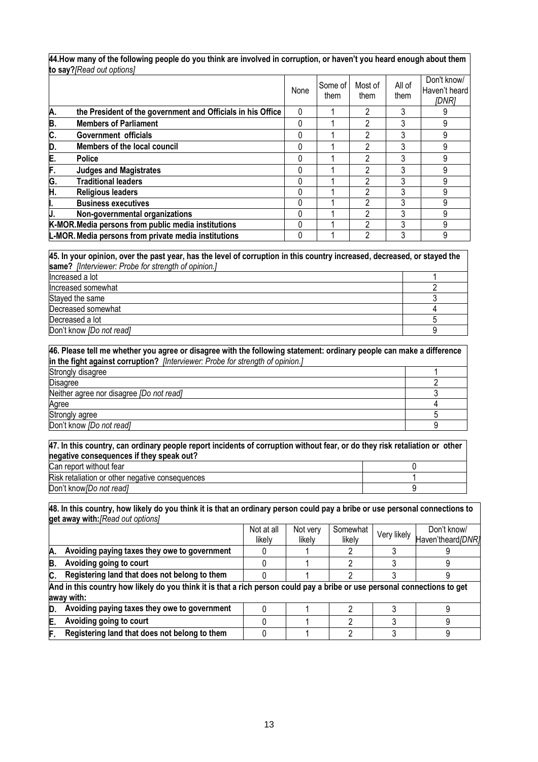**44.How many of the following people do you think are involved in corruption, or haven't you heard enough about them to say?***[Read out options]*

|    | <b>ID Say:</b> The and one options                          |          |                 |                 |                |                                       |
|----|-------------------------------------------------------------|----------|-----------------|-----------------|----------------|---------------------------------------|
|    |                                                             | None     | Some of<br>them | Most of<br>them | All of<br>them | Don't know/<br>Haven't heard<br>[DNR] |
| A. | the President of the government and Officials in his Office | 0        |                 | 2               |                | 9                                     |
| B. | <b>Members of Parliament</b>                                | 0        |                 | 2               |                | 9                                     |
| C. | Government officials                                        | 0        |                 | 2               |                | 9                                     |
| D. | Members of the local council                                | 0        |                 | 2               |                | 9                                     |
| E. | <b>Police</b>                                               | 0        |                 | 2               |                | 9                                     |
| F. | <b>Judges and Magistrates</b>                               | 0        |                 | 2               |                | 9                                     |
| G. | <b>Traditional leaders</b>                                  | $\Omega$ |                 | っ               |                | 9                                     |
| H. | <b>Religious leaders</b>                                    | 0        |                 | ∩               |                | 9                                     |
| I. | <b>Business executives</b>                                  | 0        |                 | າ               |                | 9                                     |
|    | Non-governmental organizations                              | 0        |                 | າ               |                | 9                                     |
|    | K-MOR. Media persons from public media institutions         | 0        |                 | ົ               |                | 9                                     |
|    | L-MOR. Media persons from private media institutions        | 0        |                 | 2               |                | 9                                     |

# **45. In your opinion, over the past year, has the level of corruption in this country increased, decreased, or stayed the**

| same? [Interviewer: Probe for strength of opinion.] |  |  |  |  |
|-----------------------------------------------------|--|--|--|--|
| Increased a lot                                     |  |  |  |  |
| Increased somewhat                                  |  |  |  |  |
| Stayed the same                                     |  |  |  |  |
| Decreased somewhat                                  |  |  |  |  |
| Decreased a lot                                     |  |  |  |  |
| Don't know [Do not read]                            |  |  |  |  |

#### **46. Please tell me whether you agree or disagree with the following statement: ordinary people can make a difference in the fight against corruption?** *[Interviewer: Probe for strength of opinion.]*

| Strongly disagree                        |  |
|------------------------------------------|--|
| <b>Disagree</b>                          |  |
| Neither agree nor disagree [Do not read] |  |
| Agree                                    |  |
| Strongly agree                           |  |
| Don't know [Do not read]                 |  |

#### **47. In this country, can ordinary people report incidents of corruption without fear, or do they risk retaliation or other negative consequences if they speak out?**  Can report without fear 0

| <b>Risk</b><br>uences<br>--<br>etaliatio<br>*IVA<br>otne<br>ιH<br>זר<br>ш |  |
|---------------------------------------------------------------------------|--|
| Don't<br>read<br>10W'<br>noi<br>ĸ                                         |  |

#### **48. In this country, how likely do you think it is that an ordinary person could pay a bribe or use personal connections to get away with:***[Read out options]*

|     |                                                                                                                                         | Not at all | Not very | Somewhat |             | Don't know/       |  |  |  |  |  |
|-----|-----------------------------------------------------------------------------------------------------------------------------------------|------------|----------|----------|-------------|-------------------|--|--|--|--|--|
|     |                                                                                                                                         | likely     | likelv   | likely   | Very likely | Haven'theard/DNR] |  |  |  |  |  |
| IA. | Avoiding paying taxes they owe to government                                                                                            |            |          |          |             |                   |  |  |  |  |  |
| B.  | Avoiding going to court                                                                                                                 |            |          |          |             |                   |  |  |  |  |  |
| IC. | Registering land that does not belong to them                                                                                           |            |          |          |             |                   |  |  |  |  |  |
|     | And in this country how likely do you think it is that a rich person could pay a bribe or use personal connections to get<br>away with: |            |          |          |             |                   |  |  |  |  |  |
| D.  | Avoiding paying taxes they owe to government                                                                                            |            |          |          |             |                   |  |  |  |  |  |
| E.  | Avoiding going to court                                                                                                                 |            |          |          |             |                   |  |  |  |  |  |
| F.  | Registering land that does not belong to them                                                                                           |            |          |          |             |                   |  |  |  |  |  |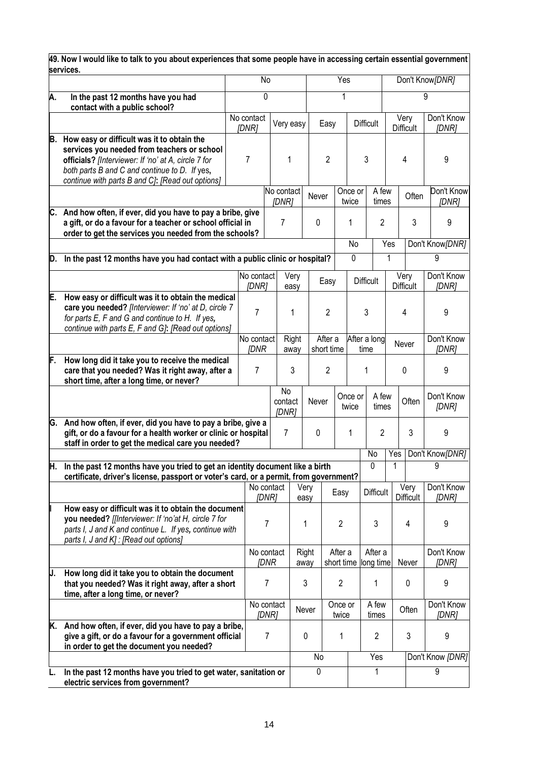|     | 49. Now I would like to talk to you about experiences that some people have in accessing certain essential government<br>services.                                                                                                                    |  |                           |                |                        |               |                       |                       |                      |                  |                  |                   |                      |                     |
|-----|-------------------------------------------------------------------------------------------------------------------------------------------------------------------------------------------------------------------------------------------------------|--|---------------------------|----------------|------------------------|---------------|-----------------------|-----------------------|----------------------|------------------|------------------|-------------------|----------------------|---------------------|
|     |                                                                                                                                                                                                                                                       |  | No                        |                |                        |               |                       | Yes                   |                      |                  |                  | Don't Know [DNR]  |                      |                     |
| А.  | In the past 12 months have you had<br>contact with a public school?                                                                                                                                                                                   |  | 0                         |                |                        |               |                       | 1                     |                      |                  |                  |                   | 9                    |                     |
|     |                                                                                                                                                                                                                                                       |  | No contact<br>[DNR]       |                | Very easy              |               | Easy                  |                       | <b>Difficult</b>     |                  | <b>Difficult</b> | Very              | Don't Know<br>[DNR]  |                     |
| B.  | How easy or difficult was it to obtain the<br>services you needed from teachers or school<br>officials? [Interviewer: If 'no' at A, circle 7 for<br>both parts B and C and continue to D. If yes,<br>continue with parts B and C]: [Read out options] |  | $\overline{7}$            |                | 1                      |               | $\overline{2}$        |                       | 3                    |                  | 4                |                   | 9                    |                     |
|     |                                                                                                                                                                                                                                                       |  |                           |                | No contact<br>[DNR]    | Never         |                       | Once or<br>twice      |                      | A few<br>times   |                  | Often             | Don't Know<br>[DNR]  |                     |
|     | C. And how often, if ever, did you have to pay a bribe, give<br>a gift, or do a favour for a teacher or school official in<br>order to get the services you needed from the schools?                                                                  |  |                           |                | $\overline{7}$         | 0             |                       | 1                     |                      | $\overline{2}$   |                  | 3                 | 9                    |                     |
| D.  | In the past 12 months have you had contact with a public clinic or hospital?                                                                                                                                                                          |  |                           |                |                        |               |                       | No<br>0               |                      | Yes<br>1         |                  |                   | Don't Know[DNR]<br>9 |                     |
|     |                                                                                                                                                                                                                                                       |  | No contact                |                | Very                   |               |                       |                       |                      |                  | Very             |                   | Don't Know           |                     |
|     |                                                                                                                                                                                                                                                       |  | [DNR]                     |                | easy                   |               | Easy                  |                       | <b>Difficult</b>     |                  | <b>Difficult</b> |                   | [DNR]                |                     |
| E.  | How easy or difficult was it to obtain the medical<br>care you needed? [Interviewer: If 'no' at D, circle 7<br>for parts E, F and G and continue to H. If yes,<br>continue with parts E, F and G]: [Read out options]                                 |  | 7                         |                | 1                      |               | $\overline{2}$        |                       | 3                    |                  | 4                |                   | 9                    |                     |
|     |                                                                                                                                                                                                                                                       |  | No contact<br><b>JDNR</b> |                | Right<br>away          |               | After a<br>short time |                       | After a long         |                  | Never<br>time    |                   |                      | Don't Know<br>[DNR] |
| F.  | How long did it take you to receive the medical<br>care that you needed? Was it right away, after a<br>short time, after a long time, or never?                                                                                                       |  | 7                         |                | 3                      |               | $\overline{2}$        |                       | 1                    |                  | 0                |                   | 9                    |                     |
|     |                                                                                                                                                                                                                                                       |  |                           |                | No<br>contact<br>[DNR] | Never         |                       | Once or<br>twice      |                      | A few<br>times   |                  | Often             | Don't Know<br>[DNR]  |                     |
| IG. | And how often, if ever, did you have to pay a bribe, give a<br>gift, or do a favour for a health worker or clinic or hospital<br>staff in order to get the medical care you needed?                                                                   |  |                           |                | $\overline{7}$         | 0             |                       | 1                     |                      | $\overline{2}$   |                  | 3                 | 9                    |                     |
| H.  | In the past 12 months have you tried to get an identity document like a birth                                                                                                                                                                         |  |                           |                |                        |               |                       |                       | No<br>0              |                  | Yes<br>1         |                   | Don't Know[DNR]<br>9 |                     |
|     | certificate, driver's license, passport or voter's card, or a permit, from government?                                                                                                                                                                |  | No contact                |                |                        |               |                       |                       |                      |                  |                  |                   | Don't Know           |                     |
|     |                                                                                                                                                                                                                                                       |  |                           | [DNR]          |                        | Very<br>easy  |                       | Easy                  |                      | <b>Difficult</b> |                  | Very<br>Difficult | [DNR]                |                     |
|     | How easy or difficult was it to obtain the document<br>you needed? [[Interviewer: If 'no'at H, circle 7 for<br>parts I, J and K and continue L. If yes, continue with<br>parts I, J and K] : [Read out options]                                       |  |                           | 7              |                        | 1             |                       | $\overline{c}$        |                      | 3                |                  | 4                 | 9                    |                     |
|     |                                                                                                                                                                                                                                                       |  | No contact                | <b>IDNR</b>    |                        | Right<br>away |                       | After a<br>short time | After a<br>long time |                  |                  | Never             | Don't Know<br>[DNR]  |                     |
| IJ. | How long did it take you to obtain the document<br>that you needed? Was it right away, after a short<br>time, after a long time, or never?                                                                                                            |  | 7                         |                |                        | 3             |                       | $\overline{c}$        |                      | 1                |                  | 0                 | 9                    |                     |
|     |                                                                                                                                                                                                                                                       |  | No contact                | [DNR]          |                        | Never         |                       | Once or<br>twice      |                      | A few<br>times   |                  | Often             | Don't Know<br>[DNR]  |                     |
| K.  | And how often, if ever, did you have to pay a bribe,<br>give a gift, or do a favour for a government official<br>in order to get the document you needed?                                                                                             |  |                           | $\overline{7}$ |                        | 0             |                       | 1                     |                      | $\overline{c}$   |                  | 3                 | 9                    |                     |
|     |                                                                                                                                                                                                                                                       |  |                           |                |                        | No            |                       |                       |                      | Yes              |                  |                   | Don't Know [DNR]     |                     |
|     | In the past 12 months have you tried to get water, sanitation or<br>electric services from government?                                                                                                                                                |  |                           |                |                        | 0             |                       |                       |                      | 1                |                  |                   | 9                    |                     |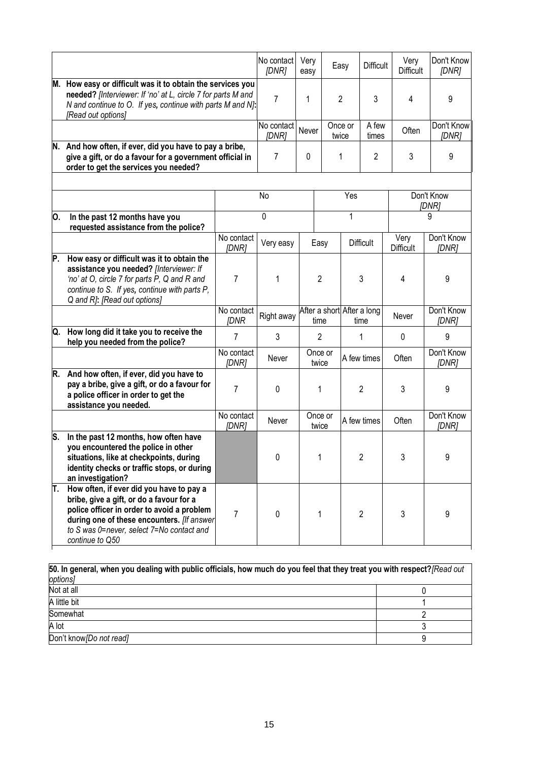|     |                                                                                                                                                                                                                                                  |                           | No contact<br>[DNR] | Very<br>easy     |                                    | Easy             | <b>Difficult</b> | Very<br><b>Difficult</b> | Don't Know<br>[DNR] |  |   |          |   |
|-----|--------------------------------------------------------------------------------------------------------------------------------------------------------------------------------------------------------------------------------------------------|---------------------------|---------------------|------------------|------------------------------------|------------------|------------------|--------------------------|---------------------|--|---|----------|---|
| М.  | How easy or difficult was it to obtain the services you<br>needed? [Interviewer: If 'no' at L, circle 7 for parts M and<br>N and continue to O. If yes, continue with parts M and N]:<br>[Read out options]                                      |                           | 7                   | 1                |                                    | $\overline{2}$   | 3                | 4                        | 9                   |  |   |          |   |
|     |                                                                                                                                                                                                                                                  |                           | No contact<br>[DNR] | Never            |                                    | Once or<br>twice | A few<br>times   | Often                    | Don't Know<br>[DNR] |  |   |          |   |
|     | N. And how often, if ever, did you have to pay a bribe,<br>give a gift, or do a favour for a government official in<br>order to get the services you needed?                                                                                     |                           | $\overline{7}$      | $\Omega$         |                                    | 1                | 2                | 3                        | 9                   |  |   |          |   |
|     |                                                                                                                                                                                                                                                  |                           | No                  |                  |                                    | Yes              |                  |                          | Don't Know<br>[DNR] |  |   |          |   |
| О.  | In the past 12 months have you<br>requested assistance from the police?                                                                                                                                                                          |                           | 0                   |                  |                                    | 1                |                  | 9                        |                     |  |   |          |   |
|     |                                                                                                                                                                                                                                                  | No contact<br>[DNR]       | Very easy           |                  | Easy                               |                  | <b>Difficult</b> | Very<br><b>Difficult</b> | Don't Know<br>[DNR] |  |   |          |   |
| P.  | How easy or difficult was it to obtain the<br>assistance you needed? [Interviewer: If<br>'no' at O, circle 7 for parts P, Q and R and<br>continue to S. If yes, continue with parts P,<br>Q and R]: [Read out options]                           | 7                         | 1                   |                  | 2                                  |                  | 3                | 4                        | 9                   |  |   |          |   |
|     |                                                                                                                                                                                                                                                  | No contact<br><b>IDNR</b> | Right away          |                  | After a short After a long<br>time |                  | time             | Never                    | Don't Know<br>[DNR] |  |   |          |   |
| Q.  | How long did it take you to receive the<br>help you needed from the police?                                                                                                                                                                      | $\overline{7}$            | 3                   |                  | $\overline{2}$                     |                  |                  |                          |                     |  | 1 | $\Omega$ | 9 |
|     |                                                                                                                                                                                                                                                  | No contact<br>[DNR]       | Never               |                  | Once or<br>twice                   |                  | A few times      | Often                    | Don't Know<br>[DNR] |  |   |          |   |
| R.  | And how often, if ever, did you have to<br>pay a bribe, give a gift, or do a favour for<br>a police officer in order to get the<br>assistance you needed.                                                                                        | 7                         | 0                   |                  | 1                                  |                  | $\overline{2}$   | 3                        | 9                   |  |   |          |   |
|     |                                                                                                                                                                                                                                                  | No contact<br>[DNR]       | Never               | Once or<br>twice |                                    |                  | A few times      | Often                    | Don't Know<br>[DNR] |  |   |          |   |
| ls. | In the past 12 months, how often have<br>you encountered the police in other<br>situations, like at checkpoints, during<br>identity checks or traffic stops, or during<br>an investigation?                                                      |                           | $\pmb{0}$           |                  | 1                                  |                  | 2                | 3                        | 9                   |  |   |          |   |
| Τ.  | How often, if ever did you have to pay a<br>bribe, give a gift, or do a favour for a<br>police officer in order to avoid a problem<br>during one of these encounters. [If answer<br>to S was 0=never, select 7=No contact and<br>continue to Q50 | 7                         | 0                   |                  | 1                                  |                  | $\overline{2}$   | 3                        | 9                   |  |   |          |   |

| 50. In general, when you dealing with public officials, how much do you feel that they treat you with respect? [Read out |  |  |  |  |  |  |
|--------------------------------------------------------------------------------------------------------------------------|--|--|--|--|--|--|
| options]                                                                                                                 |  |  |  |  |  |  |
| Not at all                                                                                                               |  |  |  |  |  |  |
| A little bit                                                                                                             |  |  |  |  |  |  |
| Somewhat                                                                                                                 |  |  |  |  |  |  |
| A lot                                                                                                                    |  |  |  |  |  |  |
| Don't know [Do not read]                                                                                                 |  |  |  |  |  |  |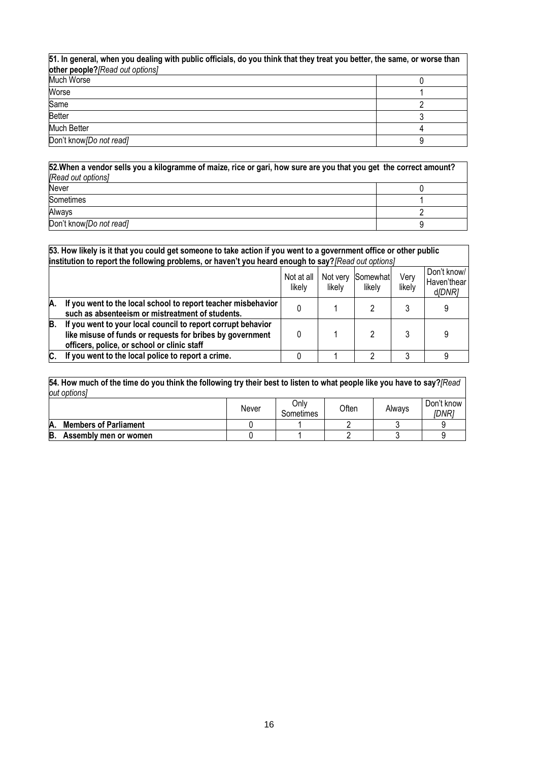| 51. In general, when you dealing with public officials, do you think that they treat you better, the same, or worse than |  |  |  |  |  |  |  |
|--------------------------------------------------------------------------------------------------------------------------|--|--|--|--|--|--|--|
| other people? [Read out options]                                                                                         |  |  |  |  |  |  |  |
| Much Worse                                                                                                               |  |  |  |  |  |  |  |
| Worse                                                                                                                    |  |  |  |  |  |  |  |
| Same                                                                                                                     |  |  |  |  |  |  |  |
| <b>Better</b>                                                                                                            |  |  |  |  |  |  |  |
| Much Better                                                                                                              |  |  |  |  |  |  |  |
| Don't know [Do not read]                                                                                                 |  |  |  |  |  |  |  |

| 52. When a vendor sells you a kilogramme of maize, rice or gari, how sure are you that you get the correct amount? |  |  |  |  |  |  |
|--------------------------------------------------------------------------------------------------------------------|--|--|--|--|--|--|
| [Read out options]                                                                                                 |  |  |  |  |  |  |
| Never                                                                                                              |  |  |  |  |  |  |
| <b>Sometimes</b>                                                                                                   |  |  |  |  |  |  |
| Always                                                                                                             |  |  |  |  |  |  |
| Don't know [Do not read]                                                                                           |  |  |  |  |  |  |

|     | 53. How likely is it that you could get someone to take action if you went to a government office or other public<br>institution to report the following problems, or haven't you heard enough to say? [Read out options] |                      |                    |                    |                |                                      |  |  |  |  |  |
|-----|---------------------------------------------------------------------------------------------------------------------------------------------------------------------------------------------------------------------------|----------------------|--------------------|--------------------|----------------|--------------------------------------|--|--|--|--|--|
|     |                                                                                                                                                                                                                           | Not at all<br>likelv | Not very<br>likely | Somewhat<br>likely | Very<br>likely | Don't know/<br>Haven'thear<br>d/DNR] |  |  |  |  |  |
| A.  | If you went to the local school to report teacher misbehavior<br>such as absenteeism or mistreatment of students.                                                                                                         |                      |                    |                    |                |                                      |  |  |  |  |  |
| B.  | If you went to your local council to report corrupt behavior<br>like misuse of funds or requests for bribes by government<br>officers, police, or school or clinic staff                                                  |                      |                    |                    |                |                                      |  |  |  |  |  |
| IC. | If you went to the local police to report a crime.                                                                                                                                                                        |                      |                    | റ                  | 2              | a                                    |  |  |  |  |  |

**54. How much of the time do you think the following try their best to listen to what people like you have to say?***[Read out options]*

|                                    | Never | Only<br>Sometimes | Often | Always | Don't know<br>IDNRi |
|------------------------------------|-------|-------------------|-------|--------|---------------------|
| <b>Members of Parliament</b><br>Α. |       |                   |       |        |                     |
| B.<br>Assembly men or women        |       |                   |       |        |                     |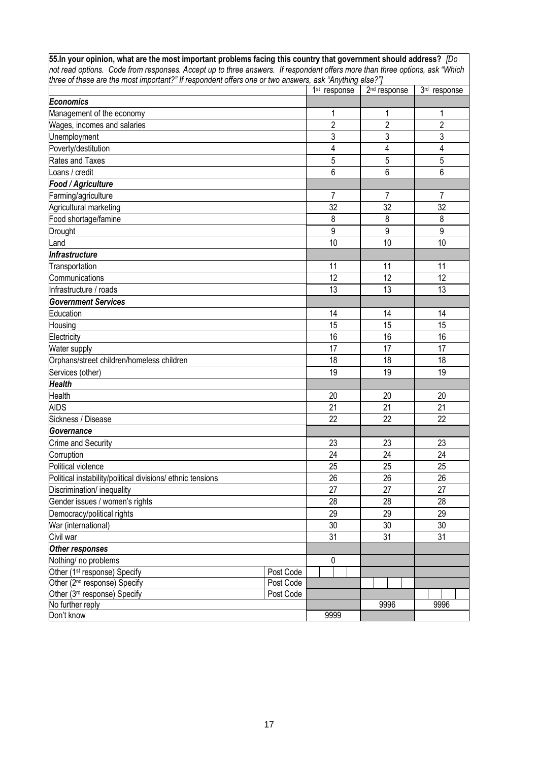|  | 55. In your opinion, what are the most important problems facing this country that government should address? $\sqrt{D}\text{o}$ |  |  |
|--|----------------------------------------------------------------------------------------------------------------------------------|--|--|
|  | not read options. Code from responses. Accept up to three answers. If respondent offers more than three options, ask "Which      |  |  |
|  | three of these are the most important?" If respondent offers one or two answers. ask "Anvthing else?"I                           |  |  |
|  |                                                                                                                                  |  |  |

|                                                            |           | 1 <sup>st</sup> response | 2 <sup>nd</sup> response | 3rd response    |
|------------------------------------------------------------|-----------|--------------------------|--------------------------|-----------------|
| <b>Economics</b>                                           |           |                          |                          |                 |
| Management of the economy                                  |           | 1                        | 1                        | 1               |
| Wages, incomes and salaries                                |           | $\overline{2}$           | $\overline{c}$           | $\overline{2}$  |
| Unemployment                                               |           | 3                        | 3                        | 3               |
| Poverty/destitution                                        |           | 4                        | $\overline{\mathbf{4}}$  | $\overline{4}$  |
| Rates and Taxes                                            |           | 5                        | 5                        | 5               |
| Loans / credit                                             |           | 6                        | 6                        | 6               |
| Food / Agriculture                                         |           |                          |                          |                 |
| Farming/agriculture                                        |           | $\overline{7}$           | 7                        | $\overline{7}$  |
| Agricultural marketing                                     |           | 32                       | 32                       | 32              |
| Food shortage/famine                                       |           | 8                        | 8                        | 8               |
| Drought                                                    |           | $\overline{9}$           | 9                        | 9               |
| Land                                                       |           | 10                       | 10                       | 10              |
| Infrastructure                                             |           |                          |                          |                 |
| Transportation                                             |           | 11                       | 11                       | 11              |
| Communications                                             |           | 12                       | 12                       | 12              |
| Infrastructure / roads                                     |           | 13                       | 13                       | 13              |
| <b>Government Services</b>                                 |           |                          |                          |                 |
| Education                                                  |           | 14                       | 14                       | 14              |
| Housing                                                    |           | 15                       | 15                       | 15              |
| Electricity                                                |           | 16                       | 16                       | 16              |
| Water supply                                               |           | 17                       | 17                       | 17              |
| Orphans/street children/homeless children                  |           | 18                       | 18                       | 18              |
| Services (other)                                           |           | 19                       | 19                       | 19              |
| <b>Health</b>                                              |           |                          |                          |                 |
| Health                                                     |           | 20                       | 20                       | 20              |
| <b>AIDS</b>                                                |           | 21                       | 21                       | $\overline{21}$ |
| Sickness / Disease                                         |           | 22                       | 22                       | 22              |
| Governance                                                 |           |                          |                          |                 |
| Crime and Security                                         |           | 23                       | 23                       | 23              |
| Corruption                                                 |           | 24                       | 24                       | 24              |
| Political violence                                         |           | 25                       | 25                       | 25              |
| Political instability/political divisions/ ethnic tensions |           | 26                       | 26                       | 26              |
| Discrimination/ inequality                                 |           | 27                       | 27                       | 27              |
| Gender issues / women's rights                             |           | 28                       | 28                       | 28              |
| Democracy/political rights                                 |           | 29                       | 29                       | 29              |
| War (international)                                        |           | 30                       | 30                       | 30              |
| Civil war                                                  |           | 31                       | 31                       | 31              |
| Other responses                                            |           |                          |                          |                 |
| Nothing/ no problems                                       |           | 0                        |                          |                 |
| Other (1 <sup>st</sup> response) Specify                   | Post Code |                          |                          |                 |
| Other (2 <sup>nd</sup> response) Specify                   | Post Code |                          |                          |                 |
| Other (3rd response) Specify                               | Post Code |                          |                          |                 |
| No further reply                                           |           |                          | 9996                     | 9996            |
| Don't know                                                 |           | 9999                     |                          |                 |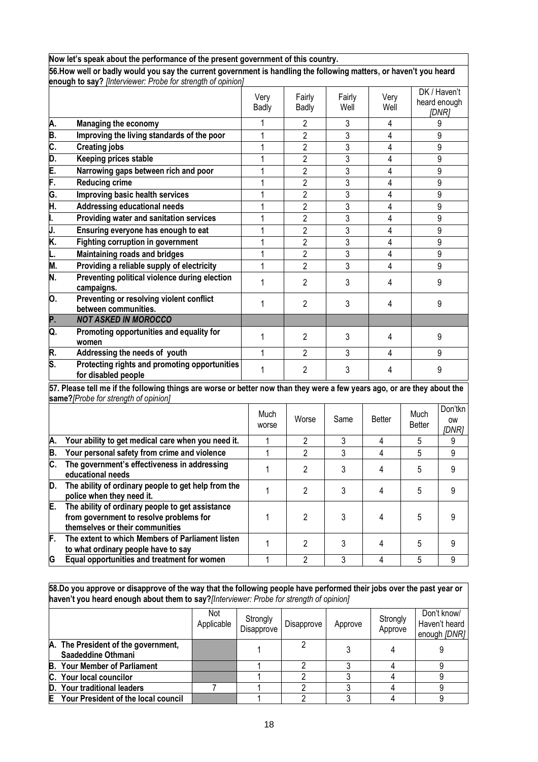|    | Now let's speak about the performance of the present government of this country.                                               |               |                |                |               |                       |                               |
|----|--------------------------------------------------------------------------------------------------------------------------------|---------------|----------------|----------------|---------------|-----------------------|-------------------------------|
|    | 56. How well or badly would you say the current government is handling the following matters, or haven't you heard             |               |                |                |               |                       |                               |
|    | enough to say? [Interviewer: Probe for strength of opinion]                                                                    |               |                |                |               |                       |                               |
|    |                                                                                                                                | Very          | Fairly         | Fairly         | Very          |                       | DK / Haven't<br>heard enough  |
|    |                                                                                                                                | Badly         | <b>Badly</b>   | Well           | Well          |                       | [DNR]                         |
| A. | <b>Managing the economy</b>                                                                                                    |               | 2              | 3              | 4             |                       | 9                             |
| B. | Improving the living standards of the poor                                                                                     | 1             | 2              | 3              | 4             |                       | 9                             |
| C. | <b>Creating jobs</b>                                                                                                           | 1             | $\overline{2}$ | 3              | 4             |                       | 9                             |
| D. | Keeping prices stable                                                                                                          | 1             | $\overline{2}$ | 3              | 4             |                       | 9                             |
| E. | Narrowing gaps between rich and poor                                                                                           | 1             | $\overline{2}$ | 3              | 4             |                       | 9                             |
| F. | <b>Reducing crime</b>                                                                                                          | 1             | $\overline{2}$ | 3              | 4             |                       | 9                             |
| G. | Improving basic health services                                                                                                | 1             | $\overline{2}$ | 3              | 4             |                       | 9                             |
| Η. | Addressing educational needs                                                                                                   | 1             | $\overline{2}$ | 3              | 4             |                       | 9                             |
| I. | Providing water and sanitation services                                                                                        | 1             | $\overline{2}$ | 3              | 4             |                       | 9                             |
| J. | Ensuring everyone has enough to eat                                                                                            | 1             | $\overline{2}$ | 3              | 4             |                       | 9                             |
| K. | <b>Fighting corruption in government</b>                                                                                       | 1             | $\overline{2}$ | 3              | 4             |                       | 9                             |
| L. | <b>Maintaining roads and bridges</b>                                                                                           | 1             | $\overline{2}$ | $\overline{3}$ | 4             |                       | 9                             |
| M. | Providing a reliable supply of electricity                                                                                     | 1             | $\overline{2}$ | 3              | 4             |                       | 9                             |
| N. | Preventing political violence during election<br>campaigns.                                                                    | 1             | $\overline{2}$ | 3              | 4             |                       | 9                             |
| О. | Preventing or resolving violent conflict<br>between communities.                                                               | 1             | $\overline{2}$ | 3              | 4             |                       | 9                             |
| P. | <b>NOT ASKED IN MOROCCO</b>                                                                                                    |               |                |                |               |                       |                               |
| Q. | Promoting opportunities and equality for<br>women                                                                              | 1             | $\overline{2}$ | 3              | 4             |                       | 9                             |
| R. | Addressing the needs of youth                                                                                                  | 1             | $\overline{2}$ | 3              | 4             |                       | 9                             |
| S. | Protecting rights and promoting opportunities<br>for disabled people                                                           | 1             | $\overline{2}$ | 3              | 4             |                       | 9                             |
|    | 57. Please tell me if the following things are worse or better now than they were a few years ago, or are they about the       |               |                |                |               |                       |                               |
|    | same?[Probe for strength of opinion]                                                                                           |               |                |                |               |                       |                               |
|    |                                                                                                                                | Much<br>worse | Worse          | Same           | <b>Better</b> | Much<br><b>Better</b> | Don'tkn<br><b>OW</b><br>[DNR] |
| Α. | Your ability to get medical care when you need it.                                                                             | 1             | 2              | 3              | 4             | 5                     | 9                             |
| В. | Your personal safety from crime and violence                                                                                   | 1             | $\overline{2}$ | 3              | 4             | 5                     | 9                             |
| C. | The government's effectiveness in addressing<br>educational needs                                                              | 1             | $\overline{2}$ | 3              | 4             | 5                     | 9                             |
| D. | The ability of ordinary people to get help from the<br>police when they need it.                                               | 1             | 2              | 3              | 4             | 5                     | 9                             |
| E. | The ability of ordinary people to get assistance<br>from government to resolve problems for<br>themselves or their communities | 1             | $\overline{2}$ | 3              | 4             | 5                     | 9                             |
| F. | The extent to which Members of Parliament listen<br>to what ordinary people have to say                                        | 1             | $\overline{2}$ | 3              | 4             | 5                     | 9                             |
| G  | Equal opportunities and treatment for women                                                                                    | 1             | $\overline{2}$ | 3              | 4             | 5                     | 9                             |
|    |                                                                                                                                |               |                |                |               |                       |                               |

**58.Do you approve or disapprove of the way that the following people have performed their jobs over the past year or haven't you heard enough about them to say?***[Interviewer: Probe for strength of opinion]* 

|   |                                                           | Not<br>Applicable | Strongly<br>Disapprove | Disapprove | Approve | Strongly<br>Approve | Don't know/<br>Haven't heard<br>enough [DNR] |
|---|-----------------------------------------------------------|-------------------|------------------------|------------|---------|---------------------|----------------------------------------------|
|   | A. The President of the government,<br>Saadeddine Othmani |                   |                        |            |         |                     |                                              |
|   | <b>B.</b> Your Member of Parliament                       |                   |                        |            |         |                     |                                              |
|   | C. Your local councilor                                   |                   |                        |            |         |                     |                                              |
|   | D. Your traditional leaders                               |                   |                        |            |         |                     |                                              |
| E | Your President of the local council                       |                   |                        |            |         |                     |                                              |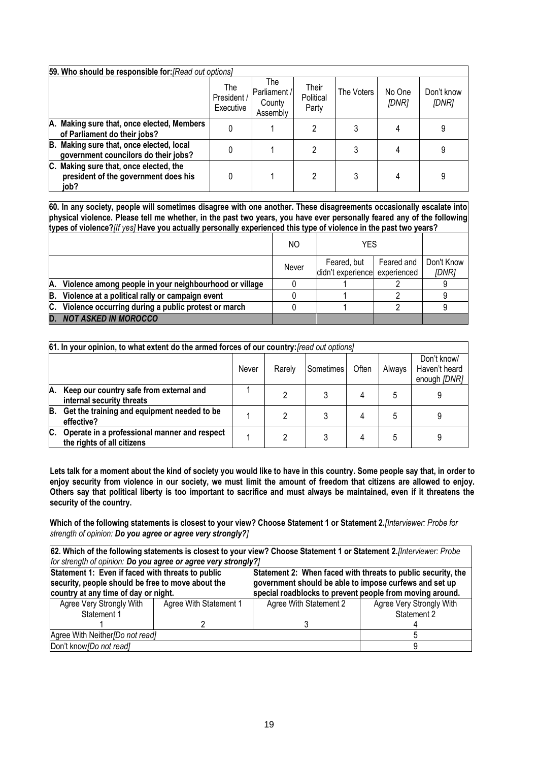| 59. Who should be responsible for: [Read out options]                                  |                                 |                                           |                             |            |                 |                     |
|----------------------------------------------------------------------------------------|---------------------------------|-------------------------------------------|-----------------------------|------------|-----------------|---------------------|
|                                                                                        | The<br>President /<br>Executive | The<br>Parliament /<br>County<br>Assembly | Their<br>Political<br>Party | The Voters | No One<br>[DNR] | Don't know<br>[DNR] |
| A. Making sure that, once elected, Members<br>of Parliament do their jobs?             | 0                               |                                           |                             |            |                 | 9                   |
| B. Making sure that, once elected, local<br>government councilors do their jobs?       | 0                               |                                           |                             |            |                 | 9                   |
| C. Making sure that, once elected, the<br>president of the government does his<br>iob? |                                 |                                           | 2                           |            |                 | 9                   |

**60. In any society, people will sometimes disagree with one another. These disagreements occasionally escalate into physical violence. Please tell me whether, in the past two years, you have ever personally feared any of the following types of violence?***[If yes]* **Have you actually personally experienced this type of violence in the past two years?**

|    |                                                        | NO.   | YES                                          |            |                     |
|----|--------------------------------------------------------|-------|----------------------------------------------|------------|---------------------|
|    |                                                        | Never | Feared, but<br>didn't experience experienced | Feared and | Don't Know<br>[DNR] |
| А. | Violence among people in your neighbourhood or village |       |                                              |            |                     |
| B. | Violence at a political rally or campaign event        |       |                                              |            |                     |
| C. | Violence occurring during a public protest or march    |       |                                              |            |                     |
| D. | <b>NOT ASKED IN MOROCCO</b>                            |       |                                              |            |                     |

|    | 61. In your opinion, to what extent do the armed forces of our country: [read out options]      |  |  |  |   |   |  |  |
|----|-------------------------------------------------------------------------------------------------|--|--|--|---|---|--|--|
|    | Don't know/<br>Haven't heard<br>Often<br>Always<br>Sometimes<br>Never<br>Rarely<br>enough [DNR] |  |  |  |   |   |  |  |
| A. | Keep our country safe from external and<br>internal security threats                            |  |  |  | 4 | ხ |  |  |
| В. | Get the training and equipment needed to be<br>effective?                                       |  |  |  | 4 | 5 |  |  |
| C. | Operate in a professional manner and respect<br>the rights of all citizens                      |  |  |  | 4 | ხ |  |  |

**Lets talk for a moment about the kind of society you would like to have in this country. Some people say that, in order to**  enjoy security from violence in our society, we must limit the amount of freedom that citizens are allowed to enjoy. **Others say that political liberty is too important to sacrifice and must always be maintained, even if it threatens the security of the country.**

**Which of the following statements is closest to your view? Choose Statement 1 or Statement 2.***[Interviewer: Probe for strength of opinion: Do you agree or agree very strongly?]*

| 62. Which of the following statements is closest to your view? Choose Statement 1 or Statement 2. [Interviewer: Probe |                                                                |                                                          |                          |  |  |  |  |
|-----------------------------------------------------------------------------------------------------------------------|----------------------------------------------------------------|----------------------------------------------------------|--------------------------|--|--|--|--|
|                                                                                                                       | for strength of opinion: Do you agree or agree very strongly?] |                                                          |                          |  |  |  |  |
| Statement 1: Even if faced with threats to public<br>Statement 2: When faced with threats to public security, the     |                                                                |                                                          |                          |  |  |  |  |
| security, people should be free to move about the                                                                     | government should be able to impose curfews and set up         |                                                          |                          |  |  |  |  |
| country at any time of day or night.                                                                                  |                                                                | special roadblocks to prevent people from moving around. |                          |  |  |  |  |
| Agree Very Strongly With                                                                                              | Agree With Statement 1                                         | Agree With Statement 2                                   | Agree Very Strongly With |  |  |  |  |
| Statement 1                                                                                                           |                                                                |                                                          | Statement 2              |  |  |  |  |
|                                                                                                                       |                                                                |                                                          |                          |  |  |  |  |
| Agree With Neither/Do not read]                                                                                       |                                                                |                                                          |                          |  |  |  |  |
| Don't know [Do not read]                                                                                              |                                                                |                                                          |                          |  |  |  |  |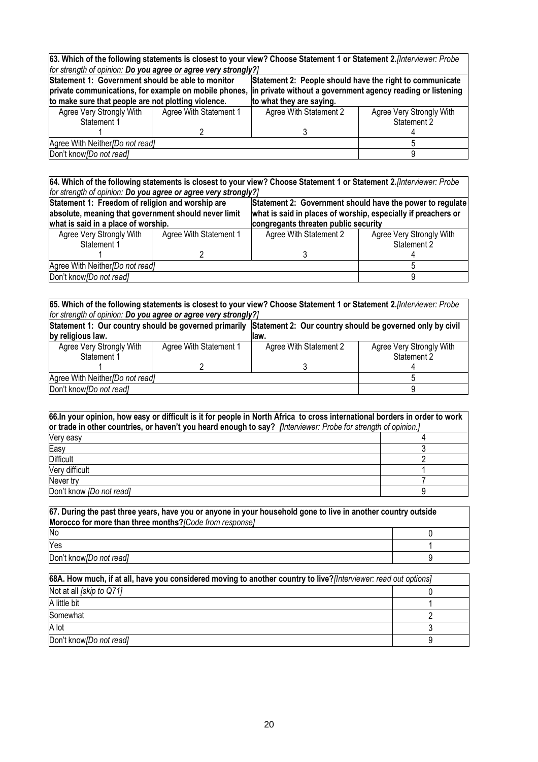| 63. Which of the following statements is closest to your view? Choose Statement 1 or Statement 2. [Interviewer: Probe |                                                                                                               |                          |                          |  |  |
|-----------------------------------------------------------------------------------------------------------------------|---------------------------------------------------------------------------------------------------------------|--------------------------|--------------------------|--|--|
| for strength of opinion: Do you agree or agree very strongly?]                                                        |                                                                                                               |                          |                          |  |  |
|                                                                                                                       | Statement 1: Government should be able to monitor<br>Statement 2: People should have the right to communicate |                          |                          |  |  |
| in private without a government agency reading or listening<br>private communications, for example on mobile phones,  |                                                                                                               |                          |                          |  |  |
| to make sure that people are not plotting violence.                                                                   |                                                                                                               | to what they are saying. |                          |  |  |
| Agree Very Strongly With                                                                                              | Agree With Statement 1                                                                                        | Agree With Statement 2   | Agree Very Strongly With |  |  |
| Statement 1                                                                                                           |                                                                                                               |                          | Statement 2              |  |  |
|                                                                                                                       |                                                                                                               |                          |                          |  |  |
| Agree With Neither/Do not read]                                                                                       |                                                                                                               |                          |                          |  |  |
| Don't know [Do not read]                                                                                              |                                                                                                               |                          |                          |  |  |

**64. Which of the following statements is closest to your view? Choose Statement 1 or Statement 2.***[Interviewer: Probe for strength of opinion: Do you agree or agree very strongly?]*

| Statement 1: Freedom of religion and worship are<br>absolute, meaning that government should never limit |                        | Statement 2: Government should have the power to regulate<br>what is said in places of worship, especially if preachers or |                          |  |  |
|----------------------------------------------------------------------------------------------------------|------------------------|----------------------------------------------------------------------------------------------------------------------------|--------------------------|--|--|
| what is said in a place of worship.                                                                      |                        | congregants threaten public security                                                                                       |                          |  |  |
| Agree Very Strongly With                                                                                 | Agree With Statement 1 | Agree With Statement 2                                                                                                     | Agree Very Strongly With |  |  |
| Statement 1                                                                                              |                        |                                                                                                                            | Statement 2              |  |  |
|                                                                                                          |                        |                                                                                                                            |                          |  |  |
| Agree With Neither/Do not read]                                                                          |                        |                                                                                                                            |                          |  |  |
| Don't know [Do not read]                                                                                 |                        |                                                                                                                            |                          |  |  |

**65. Which of the following statements is closest to your view? Choose Statement 1 or Statement 2.***[Interviewer: Probe for strength of opinion: Do you agree or agree very strongly?]* **Statement 1: Our country should be governed primarily by religious law. Statement 2: Our country should be governed only by civil law.** Agree Very Strongly With Statement 1 1 Agree With Statement 1 2 Agree With Statement 2 3 Agree Very Strongly With Statement 2 4 Agree With Neither*[Do not read]* 5 Don't know*[Do not read]* 9

| 66.In your opinion, how easy or difficult is it for people in North Africa to cross international borders in order to work<br>or trade in other countries, or haven't you heard enough to say? [Interviewer: Probe for strength of opinion.] |  |  |  |  |
|----------------------------------------------------------------------------------------------------------------------------------------------------------------------------------------------------------------------------------------------|--|--|--|--|
| Very easy                                                                                                                                                                                                                                    |  |  |  |  |
| Easy                                                                                                                                                                                                                                         |  |  |  |  |
| <b>Difficult</b>                                                                                                                                                                                                                             |  |  |  |  |
| Very difficult                                                                                                                                                                                                                               |  |  |  |  |
| Never try                                                                                                                                                                                                                                    |  |  |  |  |
| Don't know <i>[Do not read]</i>                                                                                                                                                                                                              |  |  |  |  |

**67. During the past three years, have you or anyone in your household gone to live in another country outside Morocco for more than three months?***[Code from response]* No 0  $\gamma$ es the contract of the contract of the contract of the contract of the contract of the contract of the contract of the contract of the contract of the contract of the contract of the contract of the contract of the co Don't know*[Do not read]* 9

| 68A. How much, if at all, have you considered moving to another country to live? [Interviewer: read out options] |  |  |  |
|------------------------------------------------------------------------------------------------------------------|--|--|--|
| Not at all [skip to Q71]                                                                                         |  |  |  |
| A little bit                                                                                                     |  |  |  |
| Somewhat                                                                                                         |  |  |  |
| A lot                                                                                                            |  |  |  |
| Don't know [Do not read]                                                                                         |  |  |  |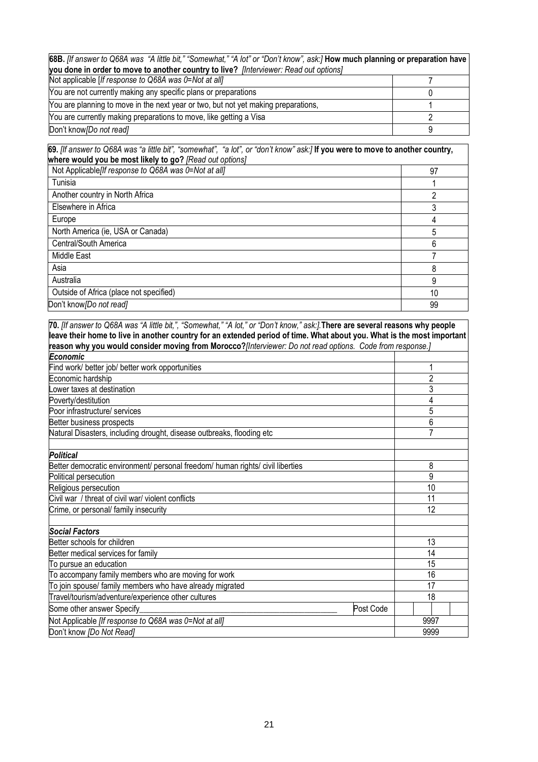| 68B. [If answer to Q68A was "A little bit," "Somewhat," "A lot" or "Don't know", ask:] How much planning or preparation have |  |  |  |  |
|------------------------------------------------------------------------------------------------------------------------------|--|--|--|--|
| you done in order to move to another country to live? [Interviewer: Read out options]                                        |  |  |  |  |
| Not applicable [If response to Q68A was 0=Not at all]                                                                        |  |  |  |  |
| You are not currently making any specific plans or preparations                                                              |  |  |  |  |
| You are planning to move in the next year or two, but not yet making preparations,                                           |  |  |  |  |
| You are currently making preparations to move, like getting a Visa                                                           |  |  |  |  |
| Don't know [Do not read]                                                                                                     |  |  |  |  |

**69.** *[If answer to Q68A was "a little bit", "somewhat", "a lot", or "don't know" ask:]* **If you were to move to another country, where would you be most likely to go?** *[Read out options]*

| Not Applicable[If response to Q68A was 0=Not at all] | 97 |
|------------------------------------------------------|----|
| Tunisia                                              |    |
| Another country in North Africa                      | າ  |
| Elsewhere in Africa                                  | າ  |
| Europe                                               | 4  |
| North America (ie, USA or Canada)                    | 5  |
| Central/South America                                | 6  |
| Middle East                                          |    |
| Asia                                                 | 8  |
| Australia                                            | 9  |
| Outside of Africa (place not specified)              | 10 |
| Don't know [Do not read]                             | 99 |

**70.** *[If answer to Q68A was "A little bit,", "Somewhat," "A lot," or "Don't know," ask:].***There are several reasons why people leave their home to live in another country for an extended period of time. What about you. What is the most important reason why you would consider moving from Morocco?***[Interviewer: Do not read options. Code from response.] Economic* Find work/ better job/ better work opportunities 1 Economic hardship 2 Lower taxes at destination and  $\sim$  3 and  $\sim$  3 and  $\sim$  3 and  $\sim$  3 and 3 and 3 and 3 and 3 and 3 and 3 and 3 and 3 and 3 and 3 and 3 and 3 and 3 and 3 and 3 and 3 and 3 and 3 and 3 and 3 and 3 and 3 and 3 and 3 and 3 a Poverty/destitution **4** and 4 and 4 and 4 and 4 and 4 and 4 and 4 and 4 and 4 and 4 and 4 and 4 and 4 and 4 and 4 and 4 and 4 and 4 and 4 and 4 and 4 and 4 and 4 and 4 and 4 and 4 and 4 and 4 and 4 and 4 and 4 and 4 and 4 Poor infrastructure/ services 6 to the service of the service of the service of the service of the services of the services of the service of the services of the service of the service of the service of the service of the Better business prospects 6 Natural Disasters, including drought, disease outbreaks, flooding etc **7** 7 *Political* Better democratic environment/ personal freedom/ human rights/ civil liberties 8 Political persecution entry and the set of the set of the set of the set of the set of the set of the set of the set of the set of the set of the set of the set of the set of the set of the set of the set of the set of the Religious persecution and the contract of the contract of the contract of the contract of the contract of the contract of the contract of the contract of the contract of the contract of the contract of the contract of the Civil war / threat of civil war/ violent conflicts 11 and 200 minutes 11 and 200 minutes 11 and 200 minutes 11 Crime, or personal/ family insecurity 12 *Social Factors* Better schools for children 13 Better medical services for family 14 and 200 minutes for family 14 and 200 minutes of the 14 and 200 minutes of the 14 and 200 minutes of the 14 and 200 minutes of the 14 and 200 minutes of the 14 and 200 minutes of the 1 To pursue an education  $\overline{15}$  15 To accompany family members who are moving for work 16 and 16 and 16 and 16 and 16 and 16 and 16 and 16 and 16 and 16 and 16 and 16 and 16 and 16 and 16 and 16 and 16 and 16 and 16 and 16 and 16 and 16 and 16 and 16 and 16 To join spouse/ family members who have already migrated 17 and 17 and 17 and 17 and 17 and 17 and 17 and 17 and 17 and 17 and 17 and 17 and 17 and 17 and 17 and 17 and 17 and 17 and 17 and 17 and 17 and 17 and 17 and 17 a Travel/tourism/adventure/experience other cultures 18 18 18 Some other answer Specify\_\_\_\_\_\_\_\_\_\_\_\_\_\_\_\_\_\_\_\_\_\_\_\_\_\_\_\_\_\_\_\_\_\_\_\_\_\_\_\_\_\_\_\_\_\_\_\_ Post Code Not Applicable *[If response to Q68A was 0=Not at all]* 9997 **Propriet and Applicable** *[If response to Q68A was 0=Not at all]* **9997** Don't know *[Do Not Read]* 9999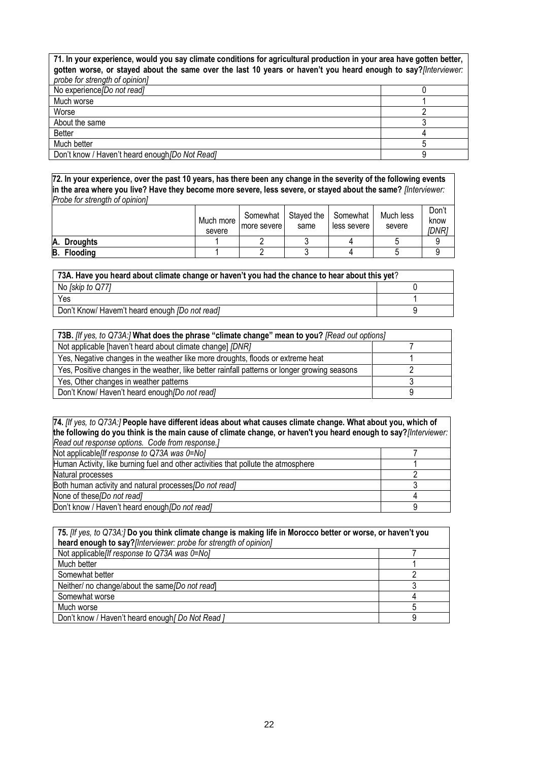**71. In your experience, would you say climate conditions for agricultural production in your area have gotten better, gotten worse, or stayed about the same over the last 10 years or haven't you heard enough to say?***[Interviewer: probe for strength of opinion]* No experience*[Do not read]* 0 Much worse 1<br>Worse 2 worse the contract of the contract of the contract of the contract of the contract of the contract of the contract of the contract of the contract of the contract of the contract of the contract of the contract of the cont About the same 3 Better the contract of the contract of the contract of the contract of the contract of the contract of the contract of the contract of the contract of the contract of the contract of the contract of the contract of the con Much better 5

Don't know / Haven't heard enough*[Do Not Read]* 9

**72. In your experience, over the past 10 years, has there been any change in the severity of the following events in the area where you live? Have they become more severe, less severe, or stayed about the same?** *[Interviewer: Probe for strength of opinion]*

|                       | Much more<br>severe | Somewhat<br>more severe | Staved the<br>same | Somewhat<br>less severe | Much less<br>severe | Don't<br>know<br>(DNR) |
|-----------------------|---------------------|-------------------------|--------------------|-------------------------|---------------------|------------------------|
| A.<br><b>Droughts</b> |                     |                         |                    |                         |                     |                        |
| <b>Flooding</b><br>B. |                     |                         |                    |                         |                     |                        |

| 73A. Have you heard about climate change or haven't you had the chance to hear about this yet? |  |  |  |  |
|------------------------------------------------------------------------------------------------|--|--|--|--|
| No [skip to Q77]                                                                               |  |  |  |  |
| Yes                                                                                            |  |  |  |  |
| Don't Know/ Havem't heard enough <i>[Do not read]</i>                                          |  |  |  |  |

| 73B. [If yes, to Q73A:] What does the phrase "climate change" mean to you? [Read out options] |  |  |  |  |
|-----------------------------------------------------------------------------------------------|--|--|--|--|
| Not applicable [haven't heard about climate change] [DNR]                                     |  |  |  |  |
| Yes, Negative changes in the weather like more droughts, floods or extreme heat               |  |  |  |  |
| Yes, Positive changes in the weather, like better rainfall patterns or longer growing seasons |  |  |  |  |
| Yes, Other changes in weather patterns                                                        |  |  |  |  |
| Don't Know/ Haven't heard enough [Do not read]                                                |  |  |  |  |

| 74. [If yes, to Q73A:] People have different ideas about what causes climate change. What about you, which of     |  |
|-------------------------------------------------------------------------------------------------------------------|--|
| the following do you think is the main cause of climate change, or haven't you heard enough to say? [Interviewer: |  |
| Read out response options. Code from response.]                                                                   |  |
| Not applicable <i>If</i> response to Q73A was $0 = N_0$                                                           |  |
| Human Activity, like burning fuel and other activities that pollute the atmosphere                                |  |
| Natural processes                                                                                                 |  |
| Both human activity and natural processes/Do not read]                                                            |  |
| None of these/Do not read]                                                                                        |  |
| Don't know / Haven't heard enough <i>[Do not read]</i>                                                            |  |

| 75. [If yes, to Q73A:] Do you think climate change is making life in Morocco better or worse, or haven't you |  |  |  |
|--------------------------------------------------------------------------------------------------------------|--|--|--|
| heard enough to say?[Interviewer: probe for strength of opinion]                                             |  |  |  |
| Not applicable f response to Q73A was 0=Nol                                                                  |  |  |  |
| Much better                                                                                                  |  |  |  |
| Somewhat better                                                                                              |  |  |  |
| Neither/ no change/about the same/Do not read]                                                               |  |  |  |
| Somewhat worse                                                                                               |  |  |  |
| Much worse                                                                                                   |  |  |  |
| Don't know / Haven't heard enough [ Do Not Read ]                                                            |  |  |  |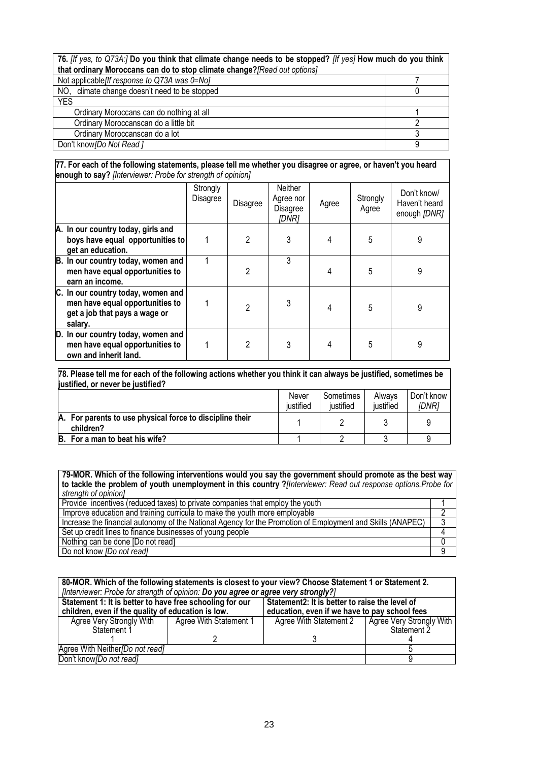# **76.** *[If yes, to Q73A:]* **Do you think that climate change needs to be stopped?** *[If yes]* **How much do you think that ordinary Moroccans can do to stop climate change?***[Read out options]*

| Not applicable <i>[If response to Q73A was <math>0 = N_O</math>]</i> |  |
|----------------------------------------------------------------------|--|
| climate change doesn't need to be stopped<br>NO.                     |  |
| <b>YES</b>                                                           |  |
| Ordinary Moroccans can do nothing at all                             |  |
| Ordinary Moroccanscan do a little bit                                |  |
| Ordinary Moroccanscan do a lot                                       |  |
| Don't know Do Not Read 1                                             |  |

#### **77. For each of the following statements, please tell me whether you disagree or agree, or haven't you heard enough to say?** *[Interviewer: Probe for strength of opinion]*

|                                                                                                                   | Strongly<br>Disagree | Disagree       | Neither<br>Agree nor<br>Disagree<br>IDNR1 | Agree | Strongly<br>Agree | Don't know/<br>Haven't heard<br>enough [DNR] |
|-------------------------------------------------------------------------------------------------------------------|----------------------|----------------|-------------------------------------------|-------|-------------------|----------------------------------------------|
| A. In our country today, girls and<br>boys have equal opportunities to<br>get an education.                       |                      | 2              | 3                                         | 4     | 5                 | 9                                            |
| B. In our country today, women and<br>men have equal opportunities to<br>earn an income.                          |                      | $\overline{c}$ | 3                                         |       | 5                 | 9                                            |
| C. In our country today, women and<br>men have equal opportunities to<br>get a job that pays a wage or<br>salary. |                      | $\mathfrak{p}$ | 3                                         | 4     | 5                 | 9                                            |
| D. In our country today, women and<br>men have equal opportunities to<br>own and inherit land.                    |                      | $\overline{2}$ | 3                                         | 4     | 5                 | 9                                            |

| 78. Please tell me for each of the following actions whether you think it can always be justified, sometimes be<br>justified, or never be justified? |  |  |   |  |  |  |  |
|------------------------------------------------------------------------------------------------------------------------------------------------------|--|--|---|--|--|--|--|
| Don't know<br>Sometimes<br>Always<br>Never<br>justified<br>justified<br>justified<br><i>IDNR1</i>                                                    |  |  |   |  |  |  |  |
| A. For parents to use physical force to discipline their<br>children?                                                                                |  |  | 2 |  |  |  |  |
| For a man to beat his wife?<br>B.                                                                                                                    |  |  |   |  |  |  |  |

#### **79-MOR. Which of the following interventions would you say the government should promote as the best way to tackle the problem of youth unemployment in this country ?***[Interviewer: Read out response options.Probe for strength of opinion]*

| Provide incentives (reduced taxes) to private companies that employ the youth                              |  |
|------------------------------------------------------------------------------------------------------------|--|
| Improve education and training curricula to make the youth more employable                                 |  |
| Increase the financial autonomy of the National Agency for the Promotion of Employment and Skills (ANAPEC) |  |
| Set up credit lines to finance businesses of young people                                                  |  |
| Nothing can be done [Do not read]                                                                          |  |
| Do not know <i>[Do not read]</i>                                                                           |  |

| 80-MOR. Which of the following statements is closest to your view? Choose Statement 1 or Statement 2.<br>[Interviewer: Probe for strength of opinion: Do you agree or agree very strongly?] |                                               |                                                |                          |  |  |
|---------------------------------------------------------------------------------------------------------------------------------------------------------------------------------------------|-----------------------------------------------|------------------------------------------------|--------------------------|--|--|
| Statement 1: It is better to have free schooling for our                                                                                                                                    |                                               | Statement2: It is better to raise the level of |                          |  |  |
| children, even if the quality of education is low.                                                                                                                                          | education, even if we have to pay school fees |                                                |                          |  |  |
| Agree Very Strongly With                                                                                                                                                                    | Agree With Statement 1                        | Agree With Statement 2                         | Agree Very Strongly With |  |  |
| Statement 1                                                                                                                                                                                 |                                               |                                                | Statement <sub>2</sub>   |  |  |
|                                                                                                                                                                                             |                                               |                                                |                          |  |  |
| Agree With Neither/Do not read]                                                                                                                                                             |                                               |                                                |                          |  |  |
| Don't know [Do not read]                                                                                                                                                                    |                                               |                                                |                          |  |  |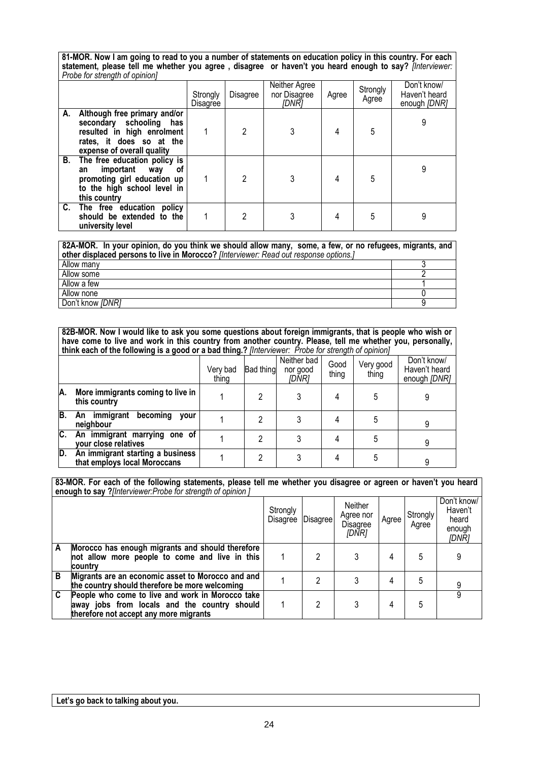**81-MOR. Now I am going to read to you a number of statements on education policy in this country. For each statement, please tell me whether you agree , disagree or haven't you heard enough to say?** *[Interviewer: Probe for strength of opinion]*

|                                                                                                                                                    | Strongly<br>Disagree | Disagree       | Neither Agree<br>nor Disagree<br>[DNR] | Agree | Strongly<br>Agree | Don't know/<br>Haven't heard<br>enough [DNR] |
|----------------------------------------------------------------------------------------------------------------------------------------------------|----------------------|----------------|----------------------------------------|-------|-------------------|----------------------------------------------|
| A. Although free primary and/or<br>secondary schooling has<br>resulted in high enrolment<br>rates, it does so at the<br>expense of overall quality |                      | 2              |                                        | 4     | 5                 |                                              |
| B. The free education policy is<br>important way<br>οf<br>an<br>promoting girl education up<br>to the high school level in<br>this country         |                      | $\mathfrak{D}$ | 3                                      | 4     | 5                 |                                              |
| C. The free education policy<br>should be extended to the<br>university level                                                                      |                      |                | 3                                      | 4     | 5                 |                                              |

| 82A-MOR. In your opinion, do you think we should allow many, some, a few, or no refugees, migrants, and |  |
|---------------------------------------------------------------------------------------------------------|--|
| other displaced persons to live in Morocco? [Interviewer: Read out response options.]                   |  |
| Allow many                                                                                              |  |
| Allow some                                                                                              |  |
| Allow a few                                                                                             |  |
| Allow none                                                                                              |  |
| Don't know [DNR]                                                                                        |  |

**82B-MOR. Now I would like to ask you some questions about foreign immigrants, that is people who wish or have come to live and work in this country from another country. Please, tell me whether you, personally, think each of the following is a good or a bad thing.?** *[Interviewer: Probe for strength of opinion]*

|     |                                                                  | Very bad<br>thing | Bad thing | Neither bad<br>nor good<br>[DNR] | Good<br>thing | Very good<br>thing | Don't know/<br>Haven't heard<br>enough [DNR] |
|-----|------------------------------------------------------------------|-------------------|-----------|----------------------------------|---------------|--------------------|----------------------------------------------|
| IA. | More immigrants coming to live in<br>this country                |                   | 2         |                                  | 4             | 5                  |                                              |
| IB. | An immigrant<br>becoming<br><b>vour</b><br>neighbour             |                   | າ         |                                  |               | 5                  |                                              |
| C.  | An immigrant marrying one of<br>your close relatives             |                   | າ         |                                  |               | 5                  |                                              |
| ID. | An immigrant starting a business<br>that employs local Moroccans |                   |           |                                  |               | 5                  |                                              |

**83-MOR. For each of the following statements, please tell me whether you disagree or agreen or haven't you heard enough to say ?***[Interviewer:Probe for strength of opinion ]*

|   |                                                                                                                                            | Strongly<br>Disagree   Disagree |   | <b>Neither</b><br>Agree nor<br><b>Disagree</b><br>[DNR] | Agree | Strongly<br>Agree | Don't know/<br>Haven't<br>heard<br>enough<br>[DNR] |
|---|--------------------------------------------------------------------------------------------------------------------------------------------|---------------------------------|---|---------------------------------------------------------|-------|-------------------|----------------------------------------------------|
|   | Morocco has enough migrants and should therefore<br>not allow more people to come and live in this<br><b>country</b>                       |                                 |   |                                                         |       | 5                 |                                                    |
| B | Migrants are an economic asset to Morocco and and<br>the country should therefore be more welcoming                                        |                                 | っ |                                                         |       | 5                 |                                                    |
| C | People who come to live and work in Morocco take<br>away jobs from locals and the country should<br>therefore not accept any more migrants |                                 | 2 |                                                         |       | 5                 |                                                    |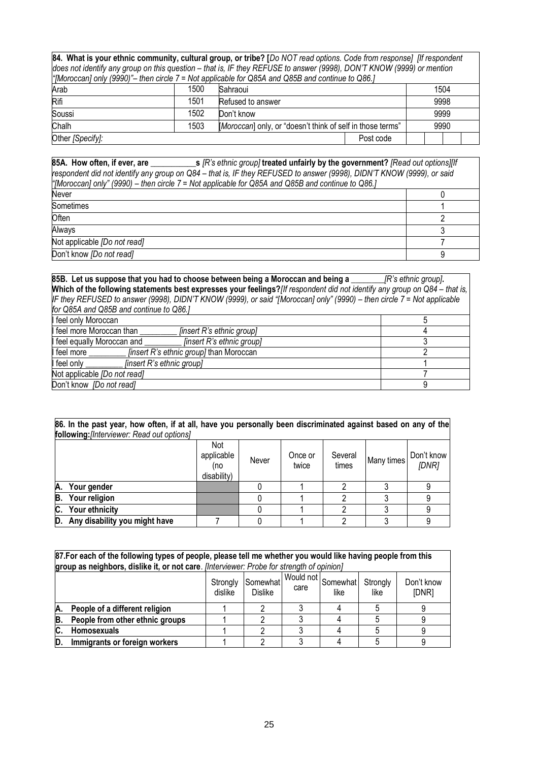**84. What is your ethnic community, cultural group, or tribe? [***Do NOT read options. Code from response] [If respondent does not identify any group on this question – that is, IF they REFUSE to answer (9998), DON'T KNOW (9999) or mention "[Moroccan] only (9990)"– then circle 7 = Not applicable for Q85A and Q85B and continue to Q86.]*

| $\mu$ prior occurry or $\mu$ (voco)<br>The applicable for wood raily would dily continue to wood, |      |                                                            |           |  |      |  |  |  |  |
|---------------------------------------------------------------------------------------------------|------|------------------------------------------------------------|-----------|--|------|--|--|--|--|
| Arab                                                                                              | 1500 | Sahraoui                                                   |           |  | 1504 |  |  |  |  |
| Rifi                                                                                              | 1501 | Refused to answer                                          | 9998      |  |      |  |  |  |  |
| Soussi                                                                                            | 1502 | Don't know                                                 |           |  | 9999 |  |  |  |  |
| Chalh                                                                                             | 1503 | [Moroccan] only, or "doesn't think of self in those terms" |           |  | 9990 |  |  |  |  |
| Other [Specify]:                                                                                  |      |                                                            | Post code |  |      |  |  |  |  |

**85A. How often, if ever, are \_\_\_\_\_\_\_\_\_\_\_s** *[R's ethnic group]* **treated unfairly by the government?** *[Read out options][If respondent did not identify any group on Q84 – that is, IF they REFUSED to answer (9998), DIDN'T KNOW (9999), or said "[Moroccan] only" (9990) – then circle 7 = Not applicable for Q85A and Q85B and continue to Q86.]* 

| Never                        |  |
|------------------------------|--|
| <b>Sometimes</b>             |  |
| Often                        |  |
| Always                       |  |
| Not applicable [Do not read] |  |
| Don't know [Do not read]     |  |

**85B. Let us suppose that you had to choose between being a Moroccan and being a \_\_\_\_\_\_\_\_***[R's ethnic group]***. Which of the following statements best expresses your feelings?***[If respondent did not identify any group on Q84 – that is, IF they REFUSED to answer (9998), DIDN'T KNOW (9999), or said "[Moroccan] only" (9990) – then circle 7 = Not applicable for Q85A and Q85B and continue to Q86.]* **In the latter only Moroccan** 5 and 10 and 10 and 10 and 10 and 10 and 10 and 10 and 10 and 10 and 10 and 10 and 10 and 10 and 10 and 10 and 10 and 10 and 10 and 10 and 10 and 10 and 10 and 10 and 10 and 10 and 10 and 10 a Feel more Moroccan than *\_\_\_\_\_\_\_\_\_\_\_ [insert R's ethnic group]* 4<br>
feel equally Moroccan and *finsert R's ethnic group*] 3 I feel equally Moroccan and **I american container and and and analytic experience in the set of the set of the set of the set of the set of the set of the set of the set of the set of the set of the set of the set of the s** feel more *linsert R's ethnic group]* than Moroccan feel only *linsert R's ethnic group]* 1 Not applicable *[Do not read]* 7 Don't know *[Do not read]* 9

| 86. In the past year, how often, if at all, have you personally been discriminated against based on any of the<br><b>following:</b> [Interviewer: Read out options] |                                         |       |                  |                  |            |                     |  |
|---------------------------------------------------------------------------------------------------------------------------------------------------------------------|-----------------------------------------|-------|------------------|------------------|------------|---------------------|--|
|                                                                                                                                                                     | Not<br>applicable<br>(no<br>disability) | Never | Once or<br>twice | Several<br>times | Many times | Don't know<br>[DNR] |  |
| А.<br>Your gender                                                                                                                                                   |                                         |       |                  |                  |            |                     |  |
| Your religion<br>B.                                                                                                                                                 |                                         |       |                  |                  |            |                     |  |
| Your ethnicity<br>C.                                                                                                                                                |                                         |       |                  |                  |            |                     |  |
| Any disability you might have<br>D.                                                                                                                                 |                                         |       |                  |                  |            |                     |  |

|                                                                                                                                          | 87.For each of the following types of people, please tell me whether you would like having people from this |  |  |  |  |  |            |  |  |  |  |  |  |  |  |
|------------------------------------------------------------------------------------------------------------------------------------------|-------------------------------------------------------------------------------------------------------------|--|--|--|--|--|------------|--|--|--|--|--|--|--|--|
|                                                                                                                                          | group as neighbors, dislike it, or not care. [Interviewer: Probe for strength of opinion]                   |  |  |  |  |  |            |  |  |  |  |  |  |  |  |
| <sub>nt</sub>   Would not   Somewhat  <br>Somewhat<br>Strongly<br>Strongly<br>care<br>dislike<br>[DNR]<br><b>Dislike</b><br>like<br>like |                                                                                                             |  |  |  |  |  | Don't know |  |  |  |  |  |  |  |  |
| Α.                                                                                                                                       | People of a different religion                                                                              |  |  |  |  |  |            |  |  |  |  |  |  |  |  |
| B.                                                                                                                                       | People from other ethnic groups                                                                             |  |  |  |  |  |            |  |  |  |  |  |  |  |  |
| IC.                                                                                                                                      | Homosexuals                                                                                                 |  |  |  |  |  |            |  |  |  |  |  |  |  |  |
| D                                                                                                                                        | Immigrants or foreign workers                                                                               |  |  |  |  |  |            |  |  |  |  |  |  |  |  |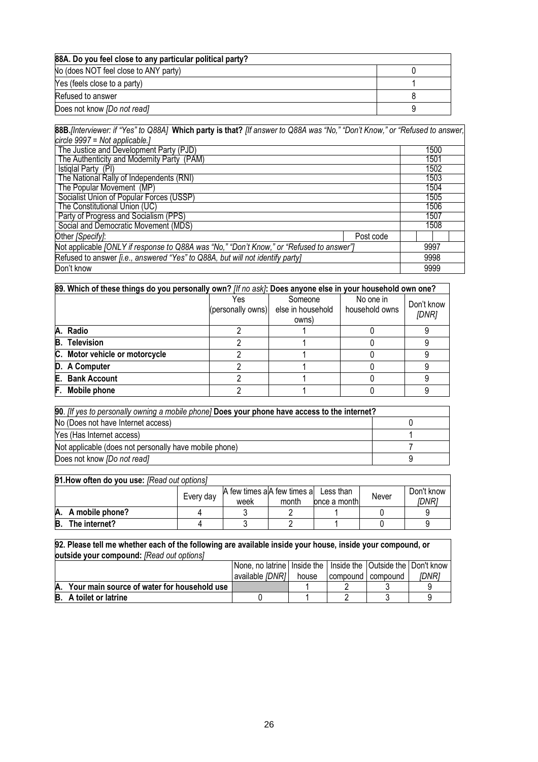| 88A. Do you feel close to any particular political party? |  |
|-----------------------------------------------------------|--|
| No (does NOT feel close to ANY party)                     |  |
| Yes (feels close to a party)                              |  |
| Refused to answer                                         |  |
| Does not know <i>[Do not read]</i>                        |  |

| 88B. Interviewer: if "Yes" to Q88A] Which party is that? [If answer to Q88A was "No," "Don't Know," or "Refused to answer, |      |
|----------------------------------------------------------------------------------------------------------------------------|------|
| circle $9997$ = Not applicable.                                                                                            |      |
| The Justice and Development Party (PJD)                                                                                    | 1500 |
| The Authenticity and Modernity Party (PAM)                                                                                 | 1501 |
| Istiglal Party (PI)                                                                                                        | 1502 |
| The National Rally of Independents (RNI)                                                                                   | 1503 |
| The Popular Movement (MP)                                                                                                  | 1504 |
| Socialist Union of Popular Forces (USSP)                                                                                   | 1505 |
| The Constitutional Union (UC)                                                                                              | 1506 |
| Party of Progress and Socialism (PPS)                                                                                      | 1507 |
| Social and Democratic Movement (MDS)                                                                                       | 1508 |
| Other [Specify]:<br>Post code                                                                                              |      |
| Not applicable [ONLY if response to Q88A was "No," "Don't Know," or "Refused to answer"]                                   | 9997 |
| Refused to answer <i>[i.e., answered "Yes" to Q88A, but will not identify party]</i>                                       | 9998 |
| Don't know                                                                                                                 | 9999 |

| 89. Which of these things do you personally own? [If no ask]: Does anyone else in your household own one? |                          |                                       |                             |                     |  |  |  |  |  |
|-----------------------------------------------------------------------------------------------------------|--------------------------|---------------------------------------|-----------------------------|---------------------|--|--|--|--|--|
|                                                                                                           | Yes<br>(personally owns) | Someone<br>else in household<br>owns) | No one in<br>household owns | Don't know<br>[DNR] |  |  |  |  |  |
| A. Radio                                                                                                  |                          |                                       |                             |                     |  |  |  |  |  |
| <b>B.</b> Television                                                                                      |                          |                                       |                             |                     |  |  |  |  |  |
| C. Motor vehicle or motorcycle                                                                            |                          |                                       |                             |                     |  |  |  |  |  |
| D. A Computer                                                                                             |                          |                                       |                             |                     |  |  |  |  |  |
| E. Bank Account                                                                                           |                          |                                       |                             |                     |  |  |  |  |  |
| F. Mobile phone                                                                                           |                          |                                       |                             |                     |  |  |  |  |  |

| 90. Ilf yes to personally owning a mobile phone] Does your phone have access to the internet? |  |  |  |  |  |
|-----------------------------------------------------------------------------------------------|--|--|--|--|--|
| No (Does not have Internet access)                                                            |  |  |  |  |  |
| Yes (Has Internet access)                                                                     |  |  |  |  |  |
| Not applicable (does not personally have mobile phone)                                        |  |  |  |  |  |
| Does not know <i>[Do not read]</i>                                                            |  |  |  |  |  |

| 91. How often do you use: [Read out options] |           |                                       |       |              |       |            |  |  |
|----------------------------------------------|-----------|---------------------------------------|-------|--------------|-------|------------|--|--|
|                                              |           | A few times a A few times a Less than |       |              | Never | Don't know |  |  |
|                                              | Every day | week                                  | month | once a month |       | IDNR1      |  |  |
| A. A mobile phone?                           |           |                                       |       |              |       |            |  |  |
| B.<br>The internet?                          |           |                                       |       |              |       |            |  |  |

| 92. Please tell me whether each of the following are available inside your house, inside your compound, or |                                                                       |       |          |          |              |
|------------------------------------------------------------------------------------------------------------|-----------------------------------------------------------------------|-------|----------|----------|--------------|
| outside your compound: [Read out options]                                                                  |                                                                       |       |          |          |              |
|                                                                                                            | None, no latrine   Inside the   Inside the   Outside the   Don't know |       |          |          |              |
|                                                                                                            | available <i>IDNRI</i>                                                | house | compound | compound | <i>IDNR1</i> |
| A. Your main source of water for household use                                                             |                                                                       |       |          |          |              |
| <b>B.</b> A toilet or latrine                                                                              |                                                                       |       |          |          |              |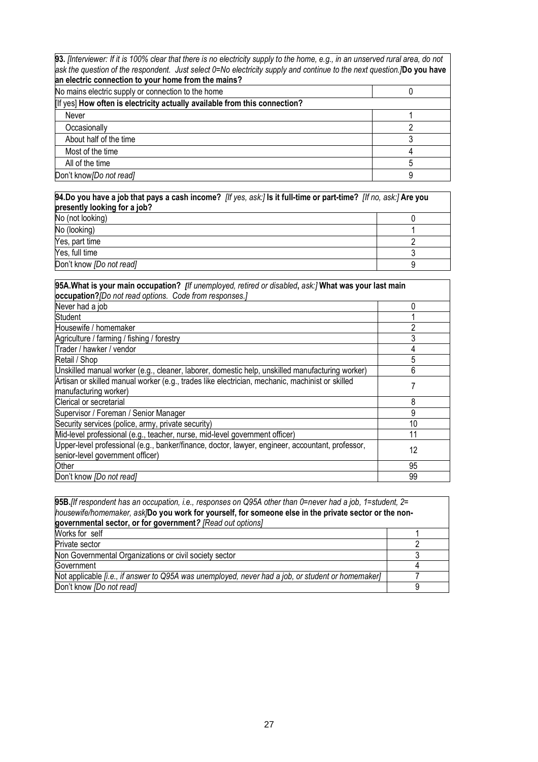**93.** *[Interviewer: If it is 100% clear that there is no electricity supply to the home, e.g., in an unserved rural area, do not ask the question of the respondent. Just select 0=No electricity supply and continue to the next question.]***Do you have an electric connection to your home from the mains?**

| <u>ku alaatiin aaliitaatiali ta'itaaliitallin tira liikillä l</u>          |  |
|----------------------------------------------------------------------------|--|
| No mains electric supply or connection to the home                         |  |
| [If yes] How often is electricity actually available from this connection? |  |
| Never                                                                      |  |
| Occasionally                                                               |  |
| About half of the time                                                     |  |
| Most of the time                                                           |  |
| All of the time                                                            |  |
| Don't know [Do not read]                                                   |  |

| 94.Do you have a job that pays a cash income? <i>[If yes, ask:]</i> Is it full-time or part-time? <i>[If no, ask:]</i> Are you |  |
|--------------------------------------------------------------------------------------------------------------------------------|--|
| presently looking for a job?                                                                                                   |  |
| No (not looking)                                                                                                               |  |
| No (looking)                                                                                                                   |  |
| Yes, part time                                                                                                                 |  |
| Yes, full time                                                                                                                 |  |
| Don't know [Do not read]                                                                                                       |  |

| 95A. What is your main occupation? <i>[If unemployed, retired or disabled, ask:]</i> What was your last main<br>occupation? [Do not read options. Code from responses.] |    |  |
|-------------------------------------------------------------------------------------------------------------------------------------------------------------------------|----|--|
| Never had a job                                                                                                                                                         |    |  |
| Student                                                                                                                                                                 |    |  |
| Housewife / homemaker                                                                                                                                                   |    |  |
| Agriculture / farming / fishing / forestry                                                                                                                              |    |  |
| Trader / hawker / vendor                                                                                                                                                |    |  |
| Retail / Shop                                                                                                                                                           | 5  |  |
| Unskilled manual worker (e.g., cleaner, laborer, domestic help, unskilled manufacturing worker)                                                                         | 6  |  |
| Artisan or skilled manual worker (e.g., trades like electrician, mechanic, machinist or skilled<br>manufacturing worker)                                                |    |  |
| Clerical or secretarial                                                                                                                                                 | 8  |  |
| Supervisor / Foreman / Senior Manager                                                                                                                                   | 9  |  |
| Security services (police, army, private security)                                                                                                                      | 10 |  |
| Mid-level professional (e.g., teacher, nurse, mid-level government officer)                                                                                             | 11 |  |
| Upper-level professional (e.g., banker/finance, doctor, lawyer, engineer, accountant, professor,<br>senior-level government officer)                                    | 12 |  |
| Other                                                                                                                                                                   | 95 |  |
| Don't know [Do not read]                                                                                                                                                | 99 |  |

| 95B. [If respondent has an occupation, i.e., responses on Q95A other than 0=never had a job, 1=student, 2= |  |  |
|------------------------------------------------------------------------------------------------------------|--|--|
| housewife/homemaker, ask/Do you work for yourself, for someone else in the private sector or the non-      |  |  |
| governmental sector, or for government? [Read out options]                                                 |  |  |
| Works for self                                                                                             |  |  |
| Private sector                                                                                             |  |  |
| Non Governmental Organizations or civil society sector                                                     |  |  |
| Government                                                                                                 |  |  |
| Not applicable [i.e., if answer to Q95A was unemployed, never had a job, or student or homemaker]          |  |  |
| Don't know [Do not read]                                                                                   |  |  |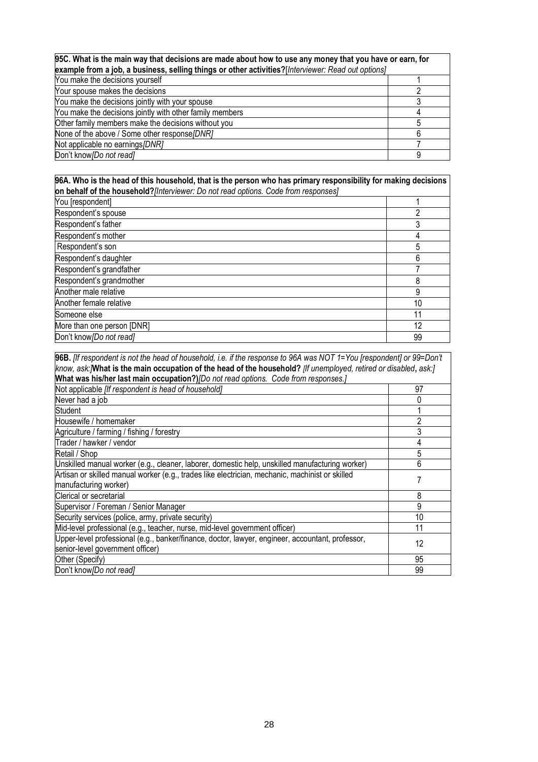| 95C. What is the main way that decisions are made about how to use any money that you have or earn, for<br>example from a job, a business, selling things or other activities?[Interviewer: Read out options] |  |  |
|---------------------------------------------------------------------------------------------------------------------------------------------------------------------------------------------------------------|--|--|
| You make the decisions yourself                                                                                                                                                                               |  |  |
| Your spouse makes the decisions                                                                                                                                                                               |  |  |
| You make the decisions jointly with your spouse                                                                                                                                                               |  |  |
| You make the decisions jointly with other family members                                                                                                                                                      |  |  |
| Other family members make the decisions without you                                                                                                                                                           |  |  |
| None of the above / Some other response [DNR]                                                                                                                                                                 |  |  |
| Not applicable no earnings/DNR]                                                                                                                                                                               |  |  |
| Don't know [Do not read]                                                                                                                                                                                      |  |  |

#### **96A. Who is the head of this household, that is the person who has primary responsibility for making decisions on behalf of the household?***[Interviewer: Do not read options. Code from responses]*

| You [respondent]           |    |
|----------------------------|----|
| Respondent's spouse        | 2  |
| Respondent's father        | 3  |
| Respondent's mother        | 4  |
| Respondent's son           | 5  |
| Respondent's daughter      | 6  |
| Respondent's grandfather   |    |
| Respondent's grandmother   | 8  |
| Another male relative      | 9  |
| Another female relative    | 10 |
| Someone else               | 11 |
| More than one person [DNR] | 12 |
| Don't know [Do not read]   | 99 |

| 96B. Ilf respondent is not the head of household, i.e. if the response to 96A was NOT 1=You [respondent] or 99=Don't |    |  |
|----------------------------------------------------------------------------------------------------------------------|----|--|
| know, ask: What is the main occupation of the head of the household? [If unemployed, retired or disabled, ask:]      |    |  |
| What was his/her last main occupation?)/Do not read options. Code from responses.]                                   |    |  |
| Not applicable [If respondent is head of household]                                                                  | 97 |  |
| Never had a job                                                                                                      | 0  |  |
| Student                                                                                                              |    |  |
| Housewife / homemaker                                                                                                | 2  |  |
| Agriculture / farming / fishing / forestry                                                                           | 3  |  |
| Trader / hawker / vendor                                                                                             | 4  |  |
| Retail / Shop                                                                                                        | 5  |  |
| Unskilled manual worker (e.g., cleaner, laborer, domestic help, unskilled manufacturing worker)                      | 6  |  |
| Artisan or skilled manual worker (e.g., trades like electrician, mechanic, machinist or skilled                      |    |  |
| manufacturing worker)                                                                                                |    |  |
| Clerical or secretarial                                                                                              | 8  |  |
| Supervisor / Foreman / Senior Manager                                                                                | 9  |  |
| Security services (police, army, private security)                                                                   | 10 |  |
| Mid-level professional (e.g., teacher, nurse, mid-level government officer)                                          | 11 |  |
| Upper-level professional (e.g., banker/finance, doctor, lawyer, engineer, accountant, professor,                     | 12 |  |
| senior-level government officer)                                                                                     |    |  |
| Other (Specify)                                                                                                      | 95 |  |
| Don't know <i>[Do not read]</i>                                                                                      | 99 |  |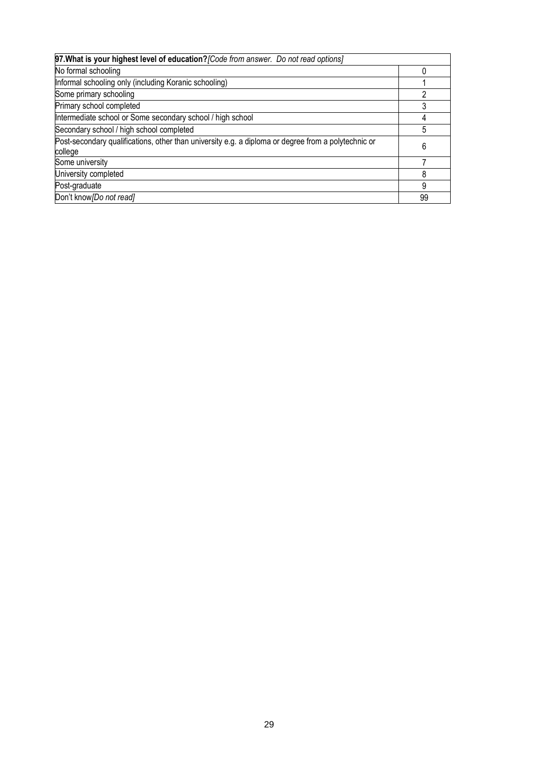| 97. What is your highest level of education? [Code from answer. Do not read options]                           |    |
|----------------------------------------------------------------------------------------------------------------|----|
| No formal schooling                                                                                            |    |
| Informal schooling only (including Koranic schooling)                                                          |    |
| Some primary schooling                                                                                         |    |
| Primary school completed                                                                                       |    |
| Intermediate school or Some secondary school / high school                                                     |    |
| Secondary school / high school completed                                                                       | 5  |
| Post-secondary qualifications, other than university e.g. a diploma or degree from a polytechnic or<br>college | 6  |
| Some university                                                                                                |    |
| University completed                                                                                           | 8  |
| Post-graduate                                                                                                  | 9  |
| Don't know [Do not read]                                                                                       | 99 |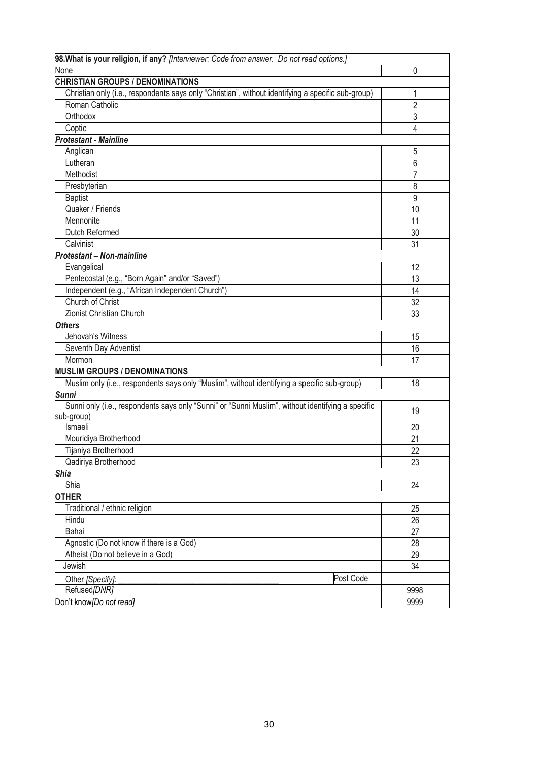| 98. What is your religion, if any? [Interviewer: Code from answer. Do not read options.]           |                |
|----------------------------------------------------------------------------------------------------|----------------|
| None                                                                                               | 0              |
| <b>CHRISTIAN GROUPS / DENOMINATIONS</b>                                                            |                |
| Christian only (i.e., respondents says only "Christian", without identifying a specific sub-group) | 1              |
| Roman Catholic                                                                                     | $\overline{2}$ |
| Orthodox                                                                                           | 3              |
| Coptic                                                                                             | 4              |
| <b>Protestant - Mainline</b>                                                                       |                |
| Anglican                                                                                           | 5              |
| Lutheran                                                                                           | $\overline{6}$ |
| Methodist                                                                                          | $\overline{7}$ |
| Presbyterian                                                                                       | 8              |
| <b>Baptist</b>                                                                                     | 9              |
| Quaker / Friends                                                                                   | 10             |
| Mennonite                                                                                          | 11             |
| Dutch Reformed                                                                                     | 30             |
| Calvinist                                                                                          | 31             |
| <b>Protestant - Non-mainline</b>                                                                   |                |
| Evangelical                                                                                        | 12             |
| Pentecostal (e.g., "Born Again" and/or "Saved")                                                    | 13             |
| Independent (e.g., "African Independent Church")                                                   | 14             |
| Church of Christ                                                                                   | 32             |
| Zionist Christian Church                                                                           | 33             |
| <b>Others</b>                                                                                      |                |
| Jehovah's Witness                                                                                  | 15             |
| Seventh Day Adventist                                                                              | 16             |
| Mormon                                                                                             | 17             |
| <b>MUSLIM GROUPS / DENOMINATIONS</b>                                                               |                |
| Muslim only (i.e., respondents says only "Muslim", without identifying a specific sub-group)       | 18             |
| <b>Sunni</b>                                                                                       |                |
| Sunni only (i.e., respondents says only "Sunni" or "Sunni Muslim", without identifying a specific  | 19             |
| sub-group)                                                                                         |                |
| Ismaeli                                                                                            | 20             |
| Mouridiya Brotherhood                                                                              | 21             |
| Tijaniya Brotherhood                                                                               | 22             |
| Qadiriya Brotherhood                                                                               | 23             |
| <b>Shia</b>                                                                                        |                |
| Shia                                                                                               | 24             |
| <b>OTHER</b>                                                                                       |                |
| Traditional / ethnic religion                                                                      | 25             |
| Hindu                                                                                              | 26             |
| Bahai                                                                                              | 27             |
| Agnostic (Do not know if there is a God)                                                           | 28             |
| Atheist (Do not believe in a God)                                                                  | 29             |
| Jewish                                                                                             | 34             |
| Post Code<br>Other [Specify]:                                                                      |                |
| Refused[DNR]                                                                                       | 9998           |
| Don't know [Do not read]                                                                           | 9999           |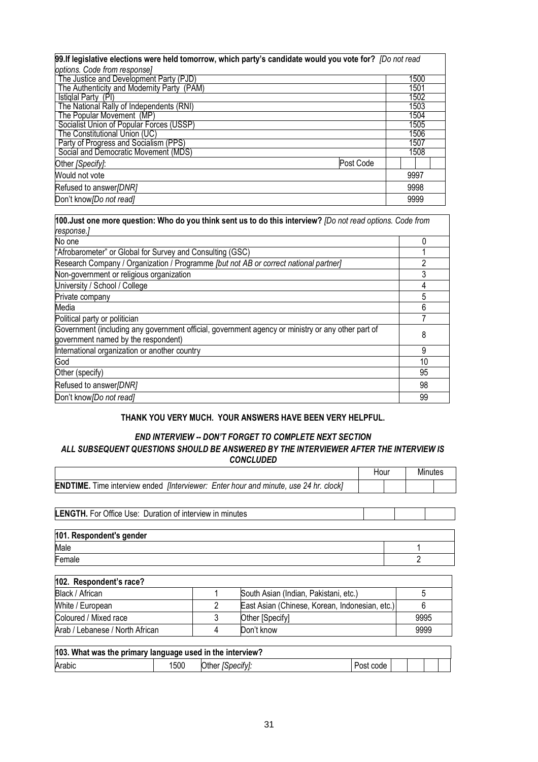| 99. If legislative elections were held tomorrow, which party's candidate would you vote for? [Do not read |      |  |
|-----------------------------------------------------------------------------------------------------------|------|--|
| options. Code from response]                                                                              |      |  |
| The Justice and Development Party (PJD)                                                                   | 1500 |  |
| The Authenticity and Modernity Party (PAM)                                                                | 1501 |  |
| Istiglal Party (PI)                                                                                       | 1502 |  |
| The National Rally of Independents (RNI)                                                                  | 1503 |  |
| The Popular Movement (MP)                                                                                 | 1504 |  |
| Socialist Union of Popular Forces (USSP)                                                                  | 1505 |  |
| The Constitutional Union (UC)                                                                             | 1506 |  |
| Party of Progress and Socialism (PPS)                                                                     | 1507 |  |
| Social and Democratic Movement (MDS)                                                                      | 1508 |  |
| Post Code<br>Other [Specify]:                                                                             |      |  |
| Would not vote                                                                                            | 9997 |  |
| Refused to answer/DNR]                                                                                    | 9998 |  |
| Don't know [Do not read]                                                                                  | 9999 |  |

| 100. Just one more question: Who do you think sent us to do this interview? [Do not read options. Code from<br>response.]                |    |
|------------------------------------------------------------------------------------------------------------------------------------------|----|
| No one                                                                                                                                   | 0  |
| "Afrobarometer" or Global for Survey and Consulting (GSC)                                                                                |    |
| Research Company / Organization / Programme [but not AB or correct national partner]                                                     | 2  |
| Non-government or religious organization                                                                                                 | 3  |
| University / School / College                                                                                                            |    |
| Private company                                                                                                                          | 5  |
| Media                                                                                                                                    | 6  |
| Political party or politician                                                                                                            |    |
| Government (including any government official, government agency or ministry or any other part of<br>government named by the respondent) | 8  |
| International organization or another country                                                                                            | 9  |
| God                                                                                                                                      | 10 |
| Other (specify)                                                                                                                          | 95 |
| Refused to answer/DNR]                                                                                                                   | 98 |
| Don't know [Do not read]                                                                                                                 | 99 |

### **THANK YOU VERY MUCH. YOUR ANSWERS HAVE BEEN VERY HELPFUL.**

#### *END INTERVIEW -- DON'T FORGET TO COMPLETE NEXT SECTION ALL SUBSEQUENT QUESTIONS SHOULD BE ANSWERED BY THE INTERVIEWER AFTER THE INTERVIEW IS CONCLUDED*

|                                                                                                    |   |                                                | Hour |  |      | Minutes |
|----------------------------------------------------------------------------------------------------|---|------------------------------------------------|------|--|------|---------|
| <b>ENDTIME.</b> Time interview ended <i>[Interviewer: Enter hour and minute, use 24 hr. clock]</i> |   |                                                |      |  |      |         |
|                                                                                                    |   |                                                |      |  |      |         |
| <b>LENGTH.</b> For Office Use: Duration of interview in minutes                                    |   |                                                |      |  |      |         |
|                                                                                                    |   |                                                |      |  |      |         |
| 101. Respondent's gender                                                                           |   |                                                |      |  |      |         |
| Male                                                                                               |   |                                                |      |  |      |         |
| Female                                                                                             |   |                                                |      |  | 2    |         |
| 102. Respondent's race?                                                                            |   |                                                |      |  |      |         |
| Black / African                                                                                    |   | South Asian (Indian, Pakistani, etc.)          |      |  | 5    |         |
| White / European                                                                                   | 2 | East Asian (Chinese, Korean, Indonesian, etc.) |      |  | 6    |         |
| Coloured / Mixed race                                                                              | 3 | Other [Specify]                                |      |  | 9995 |         |
| Arab / Lebanese / North African                                                                    | 4 | Don't know                                     |      |  | 9999 |         |

| 103. What was the primary language used in the interview? |      |                  |           |  |  |
|-----------------------------------------------------------|------|------------------|-----------|--|--|
| Arabic                                                    | 1500 | Other [Specify]: | Post code |  |  |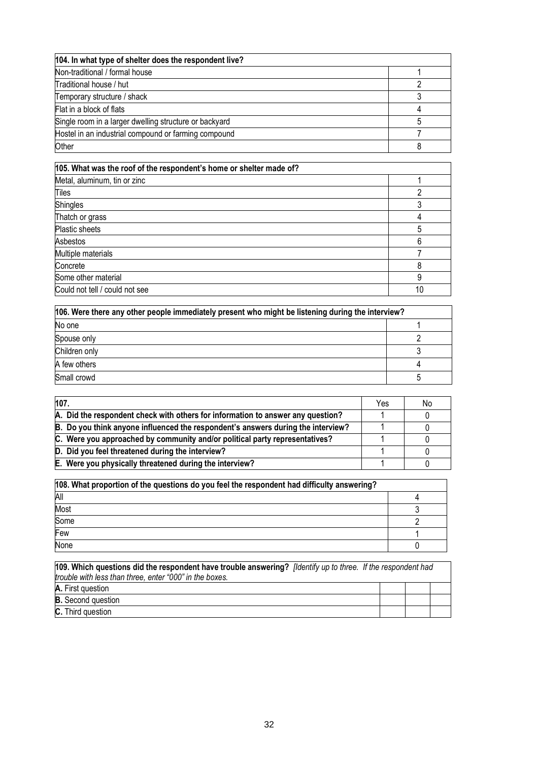| 104. In what type of shelter does the respondent live? |  |
|--------------------------------------------------------|--|
| Non-traditional / formal house                         |  |
| Traditional house / hut                                |  |
| Temporary structure / shack                            |  |
| Flat in a block of flats                               |  |
| Single room in a larger dwelling structure or backyard |  |
| Hostel in an industrial compound or farming compound   |  |
| Other                                                  |  |

| 105. What was the roof of the respondent's home or shelter made of? |    |
|---------------------------------------------------------------------|----|
| Metal, aluminum, tin or zinc                                        |    |
| Tiles                                                               |    |
| <b>Shingles</b>                                                     |    |
| Thatch or grass                                                     |    |
| Plastic sheets                                                      | 5  |
| Asbestos                                                            | 6  |
| Multiple materials                                                  |    |
| Concrete                                                            | 8  |
| Some other material                                                 | 9  |
| Could not tell / could not see                                      | 10 |

| 106. Were there any other people immediately present who might be listening during the interview? |  |  |
|---------------------------------------------------------------------------------------------------|--|--|
| No one                                                                                            |  |  |
| Spouse only                                                                                       |  |  |
| Children only                                                                                     |  |  |
| A few others                                                                                      |  |  |
| Small crowd                                                                                       |  |  |

| 107.                                                                             | Yes | No |
|----------------------------------------------------------------------------------|-----|----|
| A. Did the respondent check with others for information to answer any question?  |     |    |
| B. Do you think anyone influenced the respondent's answers during the interview? |     |    |
| C. Were you approached by community and/or political party representatives?      |     |    |
| D. Did you feel threatened during the interview?                                 |     |    |
| E. Were you physically threatened during the interview?                          |     |    |

| 108. What proportion of the questions do you feel the respondent had difficulty answering? |  |  |
|--------------------------------------------------------------------------------------------|--|--|
| All                                                                                        |  |  |
| Most                                                                                       |  |  |
| Some                                                                                       |  |  |
| Few                                                                                        |  |  |
| None                                                                                       |  |  |

| 109. Which questions did the respondent have trouble answering? [Identify up to three. If the respondent had<br>trouble with less than three, enter "000" in the boxes. |  |  |
|-------------------------------------------------------------------------------------------------------------------------------------------------------------------------|--|--|
| A. First question                                                                                                                                                       |  |  |
| <b>B.</b> Second question                                                                                                                                               |  |  |
| <b>C.</b> Third question                                                                                                                                                |  |  |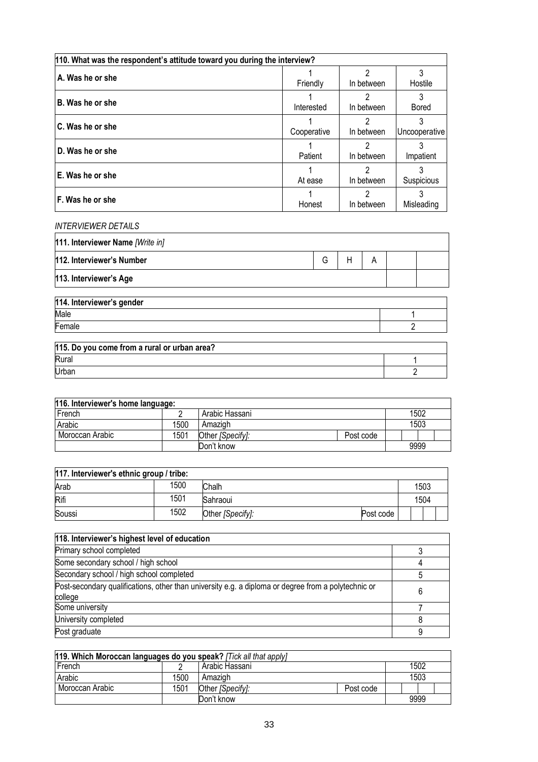| 110. What was the respondent's attitude toward you during the interview? |             |            |               |  |  |  |
|--------------------------------------------------------------------------|-------------|------------|---------------|--|--|--|
| A. Was he or she                                                         |             |            |               |  |  |  |
|                                                                          | Friendly    | In between | Hostile       |  |  |  |
|                                                                          |             | っ          |               |  |  |  |
| B. Was he or she                                                         | Interested  | In between | <b>Bored</b>  |  |  |  |
| C. Was he or she                                                         |             | 2          |               |  |  |  |
|                                                                          | Cooperative | In between | Uncooperative |  |  |  |
| D. Was he or she                                                         |             | 2          |               |  |  |  |
|                                                                          | Patient     | In between | Impatient     |  |  |  |
| E. Was he or she                                                         |             | 2          |               |  |  |  |
|                                                                          | At ease     | In between | Suspicious    |  |  |  |
|                                                                          |             | 2          |               |  |  |  |
| F. Was he or she                                                         | Honest      | In between | Misleading    |  |  |  |

### *INTERVIEWER DETAILS*

| 111. Interviewer Name [Write in] |   |  |  |
|----------------------------------|---|--|--|
| 112. Interviewer's Number        | G |  |  |
| 113. Interviewer's Age           |   |  |  |
|                                  |   |  |  |

| 114. Interviewer's gender |  |
|---------------------------|--|
| Male                      |  |
| Female                    |  |
|                           |  |

| 115. Do you come from a rural or urban area? |  |
|----------------------------------------------|--|
| Rural                                        |  |
| Urban                                        |  |

| 116. Interviewer's home language: |      |                  |           |  |      |
|-----------------------------------|------|------------------|-----------|--|------|
| French                            |      | Arabic Hassani   |           |  | 1502 |
| Arabic                            | 1500 | Amazigh          |           |  | 1503 |
| Moroccan Arabic                   | 1501 | Other [Specify]: | Post code |  |      |
|                                   |      | Don't know       |           |  | 9999 |

| 117. Interviewer's ethnic group / tribe: |      |                  |           |  |      |  |
|------------------------------------------|------|------------------|-----------|--|------|--|
| Arab                                     | 1500 | Chalh            |           |  | 1503 |  |
| Rifi                                     | 1501 | Sahraoui         |           |  | 1504 |  |
| Soussi                                   | 1502 | Other [Specify]: | Post code |  |      |  |

| 118. Interviewer's highest level of education                                                                  |  |
|----------------------------------------------------------------------------------------------------------------|--|
| Primary school completed                                                                                       |  |
| Some secondary school / high school                                                                            |  |
| Secondary school / high school completed                                                                       |  |
| Post-secondary qualifications, other than university e.g. a diploma or degree from a polytechnic or<br>college |  |
| Some university                                                                                                |  |
| University completed                                                                                           |  |
| Post graduate                                                                                                  |  |

| 119. Which Moroccan languages do you speak? [Tick all that apply] |      |                  |           |  |      |  |
|-------------------------------------------------------------------|------|------------------|-----------|--|------|--|
| French                                                            |      | Arabic Hassani   |           |  | 1502 |  |
| Arabic                                                            | 1500 | Amazigh          |           |  | 1503 |  |
| Moroccan Arabic                                                   | 1501 | Other [Specify]: | Post code |  |      |  |
|                                                                   |      | Don't know       |           |  | 9999 |  |